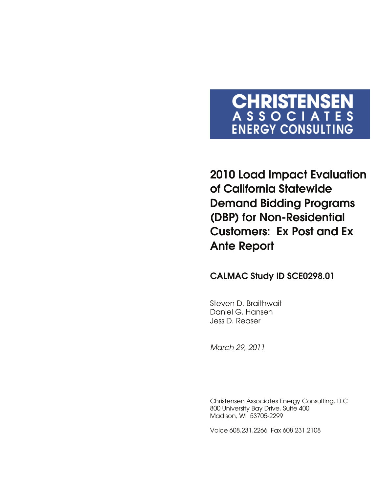# CHRISTENSEN<br>ASSOCIATES **ENERGY CONSULTING**

**2010 Load Impact Evaluation of California Statewide Demand Bidding Programs (DBP) for Non-Residential Customers: Ex Post and Ex Ante Report** 

## **CALMAC Study ID SCE0298.01**

Steven D. Braithwait Daniel G. Hansen Jess D. Reaser

*March 29, 2011* 

Christensen Associates Energy Consulting, LLC 800 University Bay Drive, Suite 400 Madison, WI 53705-2299

Voice 608.231.2266 Fax 608.231.2108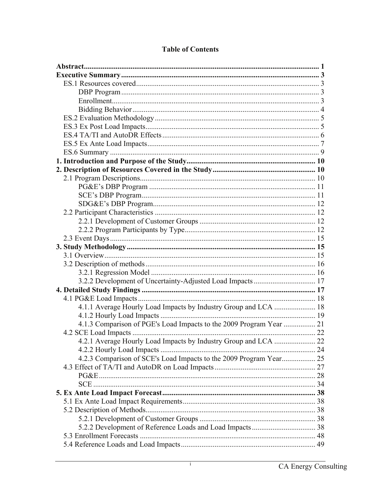| 3.2.2 Development of Uncertainty-Adjusted Load Impacts  17          |  |
|---------------------------------------------------------------------|--|
|                                                                     |  |
|                                                                     |  |
|                                                                     |  |
|                                                                     |  |
| 4.1.3 Comparison of PGE's Load Impacts to the 2009 Program Year  21 |  |
|                                                                     |  |
|                                                                     |  |
|                                                                     |  |
| 4.2.3 Comparison of SCE's Load Impacts to the 2009 Program Year 25  |  |
|                                                                     |  |
|                                                                     |  |
|                                                                     |  |
|                                                                     |  |
|                                                                     |  |
|                                                                     |  |
|                                                                     |  |
|                                                                     |  |
|                                                                     |  |
|                                                                     |  |

## **Table of Contents**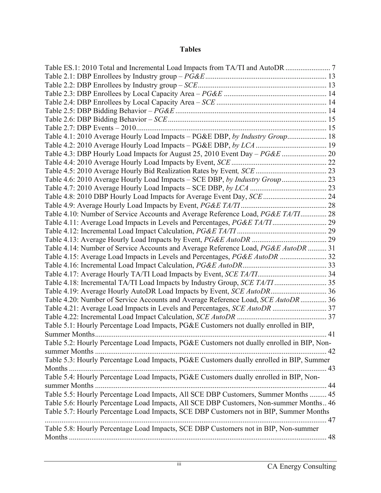#### **Tables**

| Table 4.1: 2010 Average Hourly Load Impacts - PG&E DBP, by Industry Group 18<br>Table 4.3: DBP Hourly Load Impacts for August 25, 2010 Event Day - PG&E  20<br>Table 4.6: 2010 Average Hourly Load Impacts - SCE DBP, by Industry Group  23<br>Table 4.8: 2010 DBP Hourly Load Impacts for Average Event Day, SCE  24<br>Table 4.10: Number of Service Accounts and Average Reference Load, PG&E TA/TI 28<br>Table 4.14: Number of Service Accounts and Average Reference Load, PG&E AutoDR  31<br>Table 4.15: Average Load Impacts in Levels and Percentages, PG&E AutoDR  32 |
|--------------------------------------------------------------------------------------------------------------------------------------------------------------------------------------------------------------------------------------------------------------------------------------------------------------------------------------------------------------------------------------------------------------------------------------------------------------------------------------------------------------------------------------------------------------------------------|
|                                                                                                                                                                                                                                                                                                                                                                                                                                                                                                                                                                                |
|                                                                                                                                                                                                                                                                                                                                                                                                                                                                                                                                                                                |
|                                                                                                                                                                                                                                                                                                                                                                                                                                                                                                                                                                                |
|                                                                                                                                                                                                                                                                                                                                                                                                                                                                                                                                                                                |
|                                                                                                                                                                                                                                                                                                                                                                                                                                                                                                                                                                                |
|                                                                                                                                                                                                                                                                                                                                                                                                                                                                                                                                                                                |
|                                                                                                                                                                                                                                                                                                                                                                                                                                                                                                                                                                                |
|                                                                                                                                                                                                                                                                                                                                                                                                                                                                                                                                                                                |
|                                                                                                                                                                                                                                                                                                                                                                                                                                                                                                                                                                                |
|                                                                                                                                                                                                                                                                                                                                                                                                                                                                                                                                                                                |
|                                                                                                                                                                                                                                                                                                                                                                                                                                                                                                                                                                                |
|                                                                                                                                                                                                                                                                                                                                                                                                                                                                                                                                                                                |
|                                                                                                                                                                                                                                                                                                                                                                                                                                                                                                                                                                                |
|                                                                                                                                                                                                                                                                                                                                                                                                                                                                                                                                                                                |
|                                                                                                                                                                                                                                                                                                                                                                                                                                                                                                                                                                                |
|                                                                                                                                                                                                                                                                                                                                                                                                                                                                                                                                                                                |
|                                                                                                                                                                                                                                                                                                                                                                                                                                                                                                                                                                                |
|                                                                                                                                                                                                                                                                                                                                                                                                                                                                                                                                                                                |
|                                                                                                                                                                                                                                                                                                                                                                                                                                                                                                                                                                                |
|                                                                                                                                                                                                                                                                                                                                                                                                                                                                                                                                                                                |
|                                                                                                                                                                                                                                                                                                                                                                                                                                                                                                                                                                                |
|                                                                                                                                                                                                                                                                                                                                                                                                                                                                                                                                                                                |
|                                                                                                                                                                                                                                                                                                                                                                                                                                                                                                                                                                                |
|                                                                                                                                                                                                                                                                                                                                                                                                                                                                                                                                                                                |
|                                                                                                                                                                                                                                                                                                                                                                                                                                                                                                                                                                                |
|                                                                                                                                                                                                                                                                                                                                                                                                                                                                                                                                                                                |
| Table 4.20: Number of Service Accounts and Average Reference Load, SCE AutoDR 36                                                                                                                                                                                                                                                                                                                                                                                                                                                                                               |
|                                                                                                                                                                                                                                                                                                                                                                                                                                                                                                                                                                                |
|                                                                                                                                                                                                                                                                                                                                                                                                                                                                                                                                                                                |
| Table 5.1: Hourly Percentage Load Impacts, PG&E Customers not dually enrolled in BIP,                                                                                                                                                                                                                                                                                                                                                                                                                                                                                          |
|                                                                                                                                                                                                                                                                                                                                                                                                                                                                                                                                                                                |
| Table 5.2: Hourly Percentage Load Impacts, PG&E Customers not dually enrolled in BIP, Non-                                                                                                                                                                                                                                                                                                                                                                                                                                                                                     |
|                                                                                                                                                                                                                                                                                                                                                                                                                                                                                                                                                                                |
| Table 5.3: Hourly Percentage Load Impacts, PG&E Customers dually enrolled in BIP, Summer                                                                                                                                                                                                                                                                                                                                                                                                                                                                                       |
|                                                                                                                                                                                                                                                                                                                                                                                                                                                                                                                                                                                |
| Table 5.4: Hourly Percentage Load Impacts, PG&E Customers dually enrolled in BIP, Non-                                                                                                                                                                                                                                                                                                                                                                                                                                                                                         |
|                                                                                                                                                                                                                                                                                                                                                                                                                                                                                                                                                                                |
| Table 5.5: Hourly Percentage Load Impacts, All SCE DBP Customers, Summer Months  45                                                                                                                                                                                                                                                                                                                                                                                                                                                                                            |
| Table 5.6: Hourly Percentage Load Impacts, All SCE DBP Customers, Non-summer Months 46                                                                                                                                                                                                                                                                                                                                                                                                                                                                                         |
| Table 5.7: Hourly Percentage Load Impacts, SCE DBP Customers not in BIP, Summer Months                                                                                                                                                                                                                                                                                                                                                                                                                                                                                         |
| 47                                                                                                                                                                                                                                                                                                                                                                                                                                                                                                                                                                             |
| Table 5.8: Hourly Percentage Load Impacts, SCE DBP Customers not in BIP, Non-summer                                                                                                                                                                                                                                                                                                                                                                                                                                                                                            |
|                                                                                                                                                                                                                                                                                                                                                                                                                                                                                                                                                                                |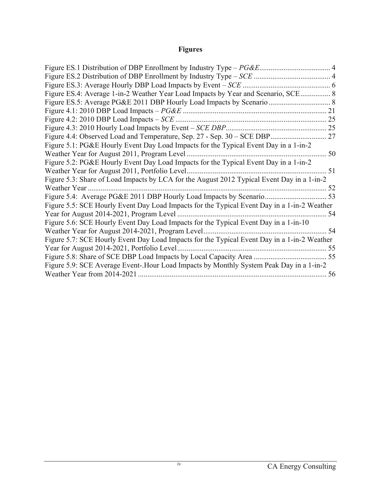# **Figures**

| Figure ES.3: Average Hourly DBP Load Impacts by Event – SCE.                                |    |
|---------------------------------------------------------------------------------------------|----|
| Figure ES.4: Average 1-in-2 Weather Year Load Impacts by Year and Scenario, SCE 8           |    |
|                                                                                             |    |
|                                                                                             | 21 |
| Figure 4.2: 2010 DBP Load Impacts $-$ SCE                                                   |    |
|                                                                                             |    |
|                                                                                             |    |
| Figure 5.1: PG&E Hourly Event Day Load Impacts for the Typical Event Day in a 1-in-2        |    |
| Weather Year for August 2011, Program Level.                                                | 50 |
| Figure 5.2: PG&E Hourly Event Day Load Impacts for the Typical Event Day in a 1-in-2        |    |
| Weather Year for August 2011, Portfolio Level.                                              | 51 |
| Figure 5.3: Share of Load Impacts by LCA for the August 2012 Typical Event Day in a 1-in-2  |    |
| Weather Year                                                                                |    |
|                                                                                             |    |
| Figure 5.5: SCE Hourly Event Day Load Impacts for the Typical Event Day in a 1-in-2 Weather |    |
| Year for August 2014-2021, Program Level                                                    | 54 |
| Figure 5.6: SCE Hourly Event Day Load Impacts for the Typical Event Day in a 1-in-10        |    |
| Weather Year for August 2014-2021, Program Level                                            | 54 |
| Figure 5.7: SCE Hourly Event Day Load Impacts for the Typical Event Day in a 1-in-2 Weather |    |
| Year for August 2014-2021, Portfolio Level                                                  | 55 |
|                                                                                             |    |
| Figure 5.9: SCE Average Event-.Hour Load Impacts by Monthly System Peak Day in a 1-in-2     |    |
| Weather Year from 2014-2021                                                                 | 56 |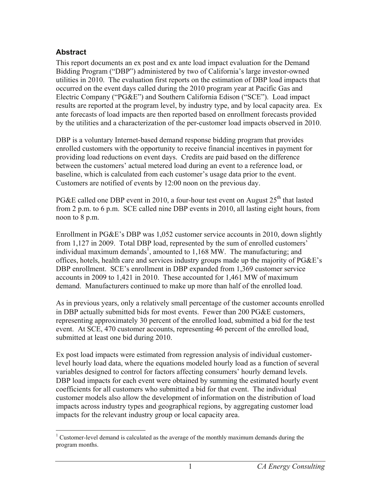#### **Abstract**

This report documents an ex post and ex ante load impact evaluation for the Demand Bidding Program ("DBP") administered by two of California's large investor-owned utilities in 2010. The evaluation first reports on the estimation of DBP load impacts that occurred on the event days called during the 2010 program year at Pacific Gas and Electric Company ("PG&E") and Southern California Edison ("SCE"). Load impact results are reported at the program level, by industry type, and by local capacity area. Ex ante forecasts of load impacts are then reported based on enrollment forecasts provided by the utilities and a characterization of the per-customer load impacts observed in 2010.

DBP is a voluntary Internet-based demand response bidding program that provides enrolled customers with the opportunity to receive financial incentives in payment for providing load reductions on event days. Credits are paid based on the difference between the customers' actual metered load during an event to a reference load, or baseline, which is calculated from each customer's usage data prior to the event. Customers are notified of events by 12:00 noon on the previous day.

PG&E called one DBP event in 2010, a four-hour test event on August  $25<sup>th</sup>$  that lasted from 2 p.m. to 6 p.m. SCE called nine DBP events in 2010, all lasting eight hours, from noon to 8 p.m.

Enrollment in PG&E's DBP was 1,052 customer service accounts in 2010, down slightly from 1,127 in 2009. Total DBP load, represented by the sum of enrolled customers' individual maximum demands<sup>1</sup>, amounted to 1,168 MW. The manufacturing; and offices, hotels, health care and services industry groups made up the majority of PG&E's DBP enrollment. SCE's enrollment in DBP expanded from 1,369 customer service accounts in 2009 to 1,421 in 2010. These accounted for 1,461 MW of maximum demand. Manufacturers continued to make up more than half of the enrolled load.

As in previous years, only a relatively small percentage of the customer accounts enrolled in DBP actually submitted bids for most events. Fewer than 200 PG&E customers, representing approximately 30 percent of the enrolled load, submitted a bid for the test event. At SCE, 470 customer accounts, representing 46 percent of the enrolled load, submitted at least one bid during 2010.

Ex post load impacts were estimated from regression analysis of individual customerlevel hourly load data, where the equations modeled hourly load as a function of several variables designed to control for factors affecting consumers' hourly demand levels. DBP load impacts for each event were obtained by summing the estimated hourly event coefficients for all customers who submitted a bid for that event. The individual customer models also allow the development of information on the distribution of load impacts across industry types and geographical regions, by aggregating customer load impacts for the relevant industry group or local capacity area.

 $\overline{a}$ <sup>1</sup> Customer-level demand is calculated as the average of the monthly maximum demands during the program months.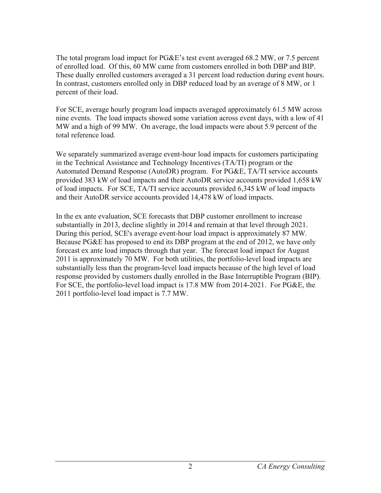The total program load impact for PG&E's test event averaged 68.2 MW, or 7.5 percent of enrolled load. Of this, 60 MW came from customers enrolled in both DBP and BIP. These dually enrolled customers averaged a 31 percent load reduction during event hours. In contrast, customers enrolled only in DBP reduced load by an average of 8 MW, or 1 percent of their load.

For SCE, average hourly program load impacts averaged approximately 61.5 MW across nine events. The load impacts showed some variation across event days, with a low of 41 MW and a high of 99 MW. On average, the load impacts were about 5.9 percent of the total reference load.

We separately summarized average event-hour load impacts for customers participating in the Technical Assistance and Technology Incentives (TA/TI) program or the Automated Demand Response (AutoDR) program. For PG&E, TA/TI service accounts provided 383 kW of load impacts and their AutoDR service accounts provided 1,658 kW of load impacts. For SCE, TA/TI service accounts provided 6,345 kW of load impacts and their AutoDR service accounts provided 14,478 kW of load impacts.

In the ex ante evaluation, SCE forecasts that DBP customer enrollment to increase substantially in 2013, decline slightly in 2014 and remain at that level through 2021. During this period, SCE's average event-hour load impact is approximately 87 MW. Because PG&E has proposed to end its DBP program at the end of 2012, we have only forecast ex ante load impacts through that year. The forecast load impact for August 2011 is approximately 70 MW. For both utilities, the portfolio-level load impacts are substantially less than the program-level load impacts because of the high level of load response provided by customers dually enrolled in the Base Interruptible Program (BIP). For SCE, the portfolio-level load impact is 17.8 MW from 2014-2021. For PG&E, the 2011 portfolio-level load impact is 7.7 MW.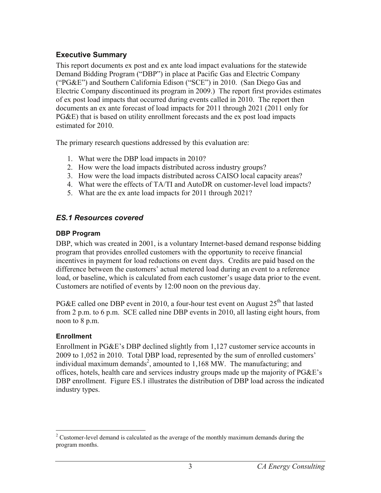## **Executive Summary**

This report documents ex post and ex ante load impact evaluations for the statewide Demand Bidding Program ("DBP") in place at Pacific Gas and Electric Company ("PG&E") and Southern California Edison ("SCE") in 2010. (San Diego Gas and Electric Company discontinued its program in 2009.) The report first provides estimates of ex post load impacts that occurred during events called in 2010. The report then documents an ex ante forecast of load impacts for 2011 through 2021 (2011 only for PG&E) that is based on utility enrollment forecasts and the ex post load impacts estimated for 2010.

The primary research questions addressed by this evaluation are:

- 1. What were the DBP load impacts in 2010?
- 2. How were the load impacts distributed across industry groups?
- 3. How were the load impacts distributed across CAISO local capacity areas?
- 4. What were the effects of TA/TI and AutoDR on customer-level load impacts?
- 5. What are the ex ante load impacts for 2011 through 2021?

# *ES.1 Resources covered*

## **DBP Program**

DBP, which was created in 2001, is a voluntary Internet-based demand response bidding program that provides enrolled customers with the opportunity to receive financial incentives in payment for load reductions on event days. Credits are paid based on the difference between the customers' actual metered load during an event to a reference load, or baseline, which is calculated from each customer's usage data prior to the event. Customers are notified of events by 12:00 noon on the previous day.

PG&E called one DBP event in 2010, a four-hour test event on August  $25<sup>th</sup>$  that lasted from 2 p.m. to 6 p.m. SCE called nine DBP events in 2010, all lasting eight hours, from noon to 8 p.m.

## **Enrollment**

Enrollment in PG&E's DBP declined slightly from 1,127 customer service accounts in 2009 to 1,052 in 2010. Total DBP load, represented by the sum of enrolled customers' individual maximum demands<sup>2</sup>, amounted to 1,168 MW. The manufacturing; and offices, hotels, health care and services industry groups made up the majority of PG&E's DBP enrollment. Figure ES.1 illustrates the distribution of DBP load across the indicated industry types.

 $\overline{a}$  $2^2$  Customer-level demand is calculated as the average of the monthly maximum demands during the program months.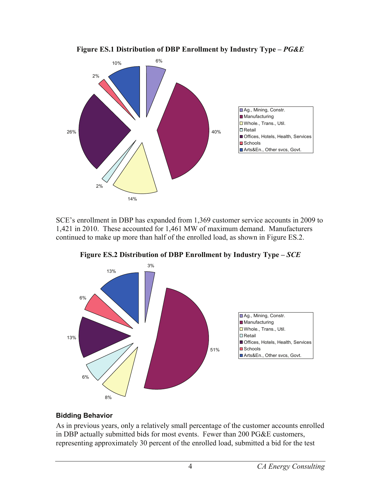

**Figure ES.1 Distribution of DBP Enrollment by Industry Type –** *PG&E*

SCE's enrollment in DBP has expanded from 1,369 customer service accounts in 2009 to 1,421 in 2010. These accounted for 1,461 MW of maximum demand. Manufacturers continued to make up more than half of the enrolled load, as shown in Figure ES.2.



**Figure ES.2 Distribution of DBP Enrollment by Industry Type –** *SCE*

#### **Bidding Behavior**

As in previous years, only a relatively small percentage of the customer accounts enrolled in DBP actually submitted bids for most events. Fewer than 200 PG&E customers, representing approximately 30 percent of the enrolled load, submitted a bid for the test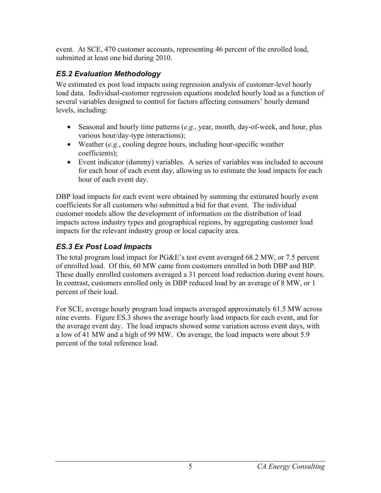event. At SCE, 470 customer accounts, representing 46 percent of the enrolled load, submitted at least one bid during 2010.

# *ES.2 Evaluation Methodology*

We estimated ex post load impacts using regression analysis of customer-level hourly load data. Individual-customer regression equations modeled hourly load as a function of several variables designed to control for factors affecting consumers' hourly demand levels, including:

- Seasonal and hourly time patterns (*e.g.*, year, month, day-of-week, and hour, plus various hour/day-type interactions);
- Weather (*e.g.*, cooling degree hours, including hour-specific weather coefficients);
- Event indicator (dummy) variables. A series of variables was included to account for each hour of each event day, allowing us to estimate the load impacts for each hour of each event day.

DBP load impacts for each event were obtained by summing the estimated hourly event coefficients for all customers who submitted a bid for that event. The individual customer models allow the development of information on the distribution of load impacts across industry types and geographical regions, by aggregating customer load impacts for the relevant industry group or local capacity area.

# *ES.3 Ex Post Load Impacts*

The total program load impact for PG&E's test event averaged 68.2 MW, or 7.5 percent of enrolled load. Of this, 60 MW came from customers enrolled in both DBP and BIP. These dually enrolled customers averaged a 31 percent load reduction during event hours. In contrast, customers enrolled only in DBP reduced load by an average of 8 MW, or 1 percent of their load.

For SCE, average hourly program load impacts averaged approximately 61.5 MW across nine events. Figure ES.3 shows the average hourly load impacts for each event, and for the average event day. The load impacts showed some variation across event days, with a low of 41 MW and a high of 99 MW. On average, the load impacts were about 5.9 percent of the total reference load.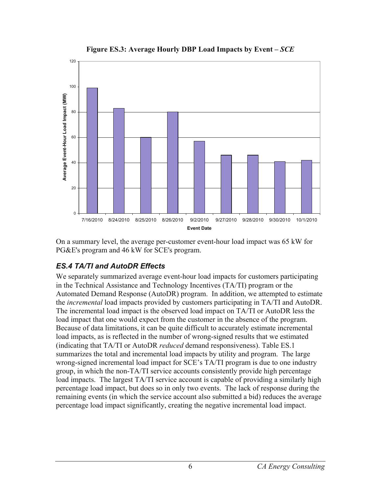



On a summary level, the average per-customer event-hour load impact was 65 kW for PG&E's program and 46 kW for SCE's program.

## *ES.4 TA/TI and AutoDR Effects*

We separately summarized average event-hour load impacts for customers participating in the Technical Assistance and Technology Incentives (TA/TI) program or the Automated Demand Response (AutoDR) program. In addition, we attempted to estimate the *incremental* load impacts provided by customers participating in TA/TI and AutoDR. The incremental load impact is the observed load impact on TA/TI or AutoDR less the load impact that one would expect from the customer in the absence of the program. Because of data limitations, it can be quite difficult to accurately estimate incremental load impacts, as is reflected in the number of wrong-signed results that we estimated (indicating that TA/TI or AutoDR *reduced* demand responsiveness). Table ES.1 summarizes the total and incremental load impacts by utility and program. The large wrong-signed incremental load impact for SCE's TA/TI program is due to one industry group, in which the non-TA/TI service accounts consistently provide high percentage load impacts. The largest TA/TI service account is capable of providing a similarly high percentage load impact, but does so in only two events. The lack of response during the remaining events (in which the service account also submitted a bid) reduces the average percentage load impact significantly, creating the negative incremental load impact.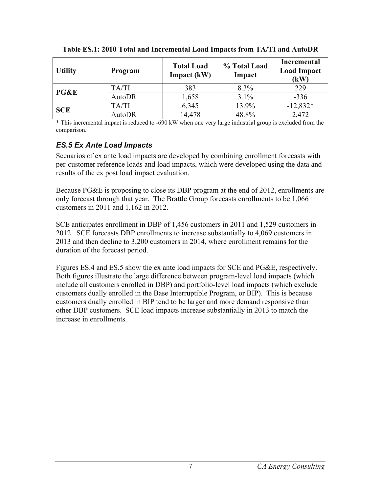| <b>Utility</b>  | <b>Program</b> | <b>Total Load</b><br>Impact (kW) | % Total Load<br>Impact | <b>Incremental</b><br><b>Load Impact</b><br>(kW) |
|-----------------|----------------|----------------------------------|------------------------|--------------------------------------------------|
|                 | TA/TI          | 383                              | 8.3%                   | 229                                              |
| <b>PG&amp;E</b> | AutoDR         | 1,658                            | 3.1%                   | $-336$                                           |
| <b>SCE</b>      | TA/TI          | 6,345                            | 13.9%                  | $-12,832*$                                       |
|                 | <b>AutoDR</b>  | 14,478                           | 48.8%                  | 2,472                                            |

| Table ES.1: 2010 Total and Incremental Load Impacts from TA/TI and AutoDR |  |  |  |
|---------------------------------------------------------------------------|--|--|--|
|                                                                           |  |  |  |

\* This incremental impact is reduced to -690 kW when one very large industrial group is excluded from the comparison.

#### *ES.5 Ex Ante Load Impacts*

Scenarios of ex ante load impacts are developed by combining enrollment forecasts with per-customer reference loads and load impacts, which were developed using the data and results of the ex post load impact evaluation.

Because PG&E is proposing to close its DBP program at the end of 2012, enrollments are only forecast through that year. The Brattle Group forecasts enrollments to be 1,066 customers in 2011 and 1,162 in 2012.

SCE anticipates enrollment in DBP of 1,456 customers in 2011 and 1,529 customers in 2012. SCE forecasts DBP enrollments to increase substantially to 4,069 customers in 2013 and then decline to 3,200 customers in 2014, where enrollment remains for the duration of the forecast period.

Figures ES.4 and ES.5 show the ex ante load impacts for SCE and PG&E, respectively. Both figures illustrate the large difference between program-level load impacts (which include all customers enrolled in DBP) and portfolio-level load impacts (which exclude customers dually enrolled in the Base Interruptible Program, or BIP). This is because customers dually enrolled in BIP tend to be larger and more demand responsive than other DBP customers. SCE load impacts increase substantially in 2013 to match the increase in enrollments.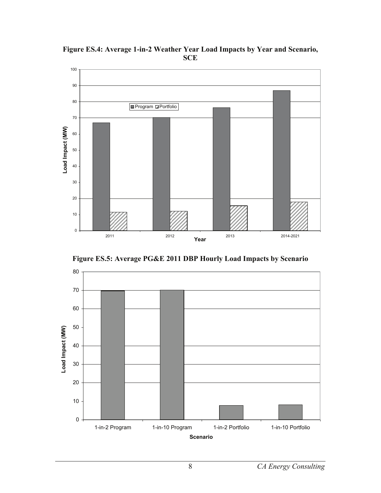

**Figure ES.4: Average 1-in-2 Weather Year Load Impacts by Year and Scenario, SCE** 



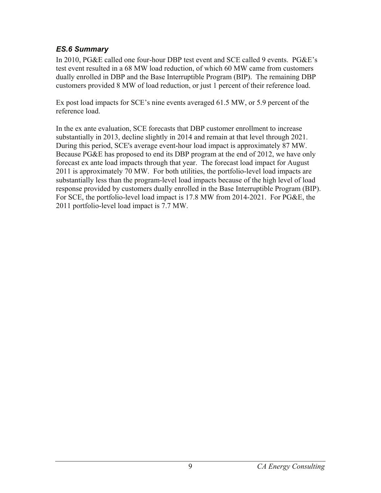## *ES.6 Summary*

In 2010, PG&E called one four-hour DBP test event and SCE called 9 events. PG&E's test event resulted in a 68 MW load reduction, of which 60 MW came from customers dually enrolled in DBP and the Base Interruptible Program (BIP). The remaining DBP customers provided 8 MW of load reduction, or just 1 percent of their reference load.

Ex post load impacts for SCE's nine events averaged 61.5 MW, or 5.9 percent of the reference load.

In the ex ante evaluation, SCE forecasts that DBP customer enrollment to increase substantially in 2013, decline slightly in 2014 and remain at that level through 2021. During this period, SCE's average event-hour load impact is approximately 87 MW. Because PG&E has proposed to end its DBP program at the end of 2012, we have only forecast ex ante load impacts through that year. The forecast load impact for August 2011 is approximately 70 MW. For both utilities, the portfolio-level load impacts are substantially less than the program-level load impacts because of the high level of load response provided by customers dually enrolled in the Base Interruptible Program (BIP). For SCE, the portfolio-level load impact is 17.8 MW from 2014-2021. For PG&E, the 2011 portfolio-level load impact is 7.7 MW.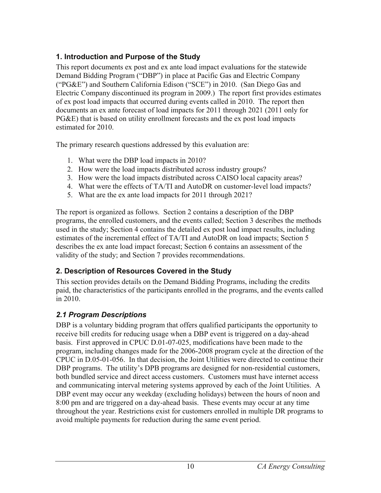## **1. Introduction and Purpose of the Study**

This report documents ex post and ex ante load impact evaluations for the statewide Demand Bidding Program ("DBP") in place at Pacific Gas and Electric Company ("PG&E") and Southern California Edison ("SCE") in 2010. (San Diego Gas and Electric Company discontinued its program in 2009.) The report first provides estimates of ex post load impacts that occurred during events called in 2010. The report then documents an ex ante forecast of load impacts for 2011 through 2021 (2011 only for PG&E) that is based on utility enrollment forecasts and the ex post load impacts estimated for 2010.

The primary research questions addressed by this evaluation are:

- 1. What were the DBP load impacts in 2010?
- 2. How were the load impacts distributed across industry groups?
- 3. How were the load impacts distributed across CAISO local capacity areas?
- 4. What were the effects of TA/TI and AutoDR on customer-level load impacts?
- 5. What are the ex ante load impacts for 2011 through 2021?

The report is organized as follows. Section 2 contains a description of the DBP programs, the enrolled customers, and the events called; Section 3 describes the methods used in the study; Section 4 contains the detailed ex post load impact results, including estimates of the incremental effect of TA/TI and AutoDR on load impacts; Section 5 describes the ex ante load impact forecast; Section 6 contains an assessment of the validity of the study; and Section 7 provides recommendations.

# **2. Description of Resources Covered in the Study**

This section provides details on the Demand Bidding Programs, including the credits paid, the characteristics of the participants enrolled in the programs, and the events called in 2010.

# *2.1 Program Descriptions*

DBP is a voluntary bidding program that offers qualified participants the opportunity to receive bill credits for reducing usage when a DBP event is triggered on a day-ahead basis. First approved in CPUC D.01-07-025, modifications have been made to the program, including changes made for the 2006-2008 program cycle at the direction of the CPUC in D.05-01-056. In that decision, the Joint Utilities were directed to continue their DBP programs. The utility's DPB programs are designed for non-residential customers, both bundled service and direct access customers. Customers must have internet access and communicating interval metering systems approved by each of the Joint Utilities. A DBP event may occur any weekday (excluding holidays) between the hours of noon and 8:00 pm and are triggered on a day-ahead basis. These events may occur at any time throughout the year. Restrictions exist for customers enrolled in multiple DR programs to avoid multiple payments for reduction during the same event period.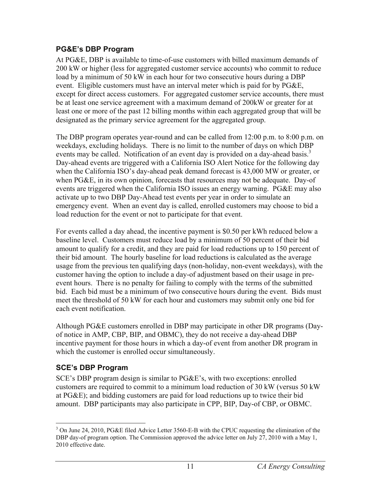## **PG&E's DBP Program**

At PG&E, DBP is available to time-of-use customers with billed maximum demands of 200 kW or higher (less for aggregated customer service accounts) who commit to reduce load by a minimum of 50 kW in each hour for two consecutive hours during a DBP event. Eligible customers must have an interval meter which is paid for by PG&E, except for direct access customers. For aggregated customer service accounts, there must be at least one service agreement with a maximum demand of 200kW or greater for at least one or more of the past 12 billing months within each aggregated group that will be designated as the primary service agreement for the aggregated group.

The DBP program operates year-round and can be called from 12:00 p.m. to 8:00 p.m. on weekdays, excluding holidays. There is no limit to the number of days on which DBP events may be called. Notification of an event day is provided on a day-ahead basis.<sup>3</sup> Day-ahead events are triggered with a California ISO Alert Notice for the following day when the California ISO's day-ahead peak demand forecast is 43,000 MW or greater, or when PG&E, in its own opinion, forecasts that resources may not be adequate. Day-of events are triggered when the California ISO issues an energy warning. PG&E may also activate up to two DBP Day-Ahead test events per year in order to simulate an emergency event. When an event day is called, enrolled customers may choose to bid a load reduction for the event or not to participate for that event.

For events called a day ahead, the incentive payment is \$0.50 per kWh reduced below a baseline level. Customers must reduce load by a minimum of 50 percent of their bid amount to qualify for a credit, and they are paid for load reductions up to 150 percent of their bid amount. The hourly baseline for load reductions is calculated as the average usage from the previous ten qualifying days (non-holiday, non-event weekdays), with the customer having the option to include a day-of adjustment based on their usage in preevent hours. There is no penalty for failing to comply with the terms of the submitted bid. Each bid must be a minimum of two consecutive hours during the event. Bids must meet the threshold of 50 kW for each hour and customers may submit only one bid for each event notification.

Although PG&E customers enrolled in DBP may participate in other DR programs (Dayof notice in AMP, CBP, BIP, and OBMC), they do not receive a day-ahead DBP incentive payment for those hours in which a day-of event from another DR program in which the customer is enrolled occur simultaneously.

# **SCE's DBP Program**

SCE's DBP program design is similar to PG&E's, with two exceptions: enrolled customers are required to commit to a minimum load reduction of 30 kW (versus 50 kW at PG&E); and bidding customers are paid for load reductions up to twice their bid amount. DBP participants may also participate in CPP, BIP, Day-of CBP, or OBMC.

<sup>1</sup> <sup>3</sup> On June 24, 2010, PG&E filed Advice Letter 3560-E-B with the CPUC requesting the elimination of the DBP day-of program option. The Commission approved the advice letter on July 27, 2010 with a May 1, 2010 effective date.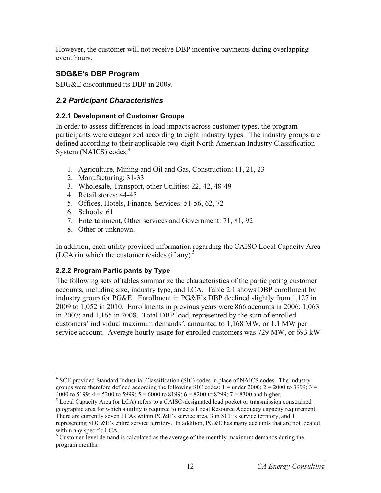However, the customer will not receive DBP incentive payments during overlapping event hours.

## **SDG&E's DBP Program**

SDG&E discontinued its DBP in 2009.

## *2.2 Participant Characteristics*

#### **2.2.1 Development of Customer Groups**

In order to assess differences in load impacts across customer types, the program participants were categorized according to eight industry types. The industry groups are defined according to their applicable two-digit North American Industry Classification System (NAICS) codes:<sup>4</sup>

- 1. Agriculture, Mining and Oil and Gas, Construction: 11, 21, 23
- 2. Manufacturing: 31-33
- 3. Wholesale, Transport, other Utilities: 22, 42, 48-49
- 4. Retail stores: 44-45
- 5. Offices, Hotels, Finance, Services: 51-56, 62, 72
- 6. Schools: 61
- 7. Entertainment, Other services and Government: 71, 81, 92
- 8. Other or unknown.

In addition, each utility provided information regarding the CAISO Local Capacity Area (LCA) in which the customer resides (if any).<sup>5</sup>

## **2.2.2 Program Participants by Type**

The following sets of tables summarize the characteristics of the participating customer accounts, including size, industry type, and LCA. Table 2.1 shows DBP enrollment by industry group for PG&E. Enrollment in PG&E's DBP declined slightly from 1,127 in 2009 to 1,052 in 2010. Enrollments in previous years were 866 accounts in 2006; 1,063 in 2007; and 1,165 in 2008. Total DBP load, represented by the sum of enrolled customers' individual maximum demands<sup>6</sup>, amounted to  $1,168$  MW, or 1.1 MW per service account. Average hourly usage for enrolled customers was 729 MW, or 693 kW

 $\overline{a}$ <sup>4</sup> SCE provided Standard Industrial Classification (SIC) codes in place of NAICS codes. The industry groups were therefore defined according the following SIC codes:  $1 =$  under 2000;  $2 = 2000$  to 3999;  $3 =$ 4000 to 5199;  $4 = 5200$  to 5999;  $5 = 6000$  to 8199;  $6 = 8200$  to 8299;  $7 = 8300$  and higher.

<sup>&</sup>lt;sup>5</sup> Local Capacity Area (or LCA) refers to a CAISO-designated load pocket or transmission constrained geographic area for which a utility is required to meet a Local Resource Adequacy capacity requirement. There are currently seven LCAs within PG&E's service area, 3 in SCE's service territory, and 1 representing SDG&E's entire service territory. In addition, PG&E has many accounts that are not located within any specific LCA.

<sup>&</sup>lt;sup>6</sup> Customer-level demand is calculated as the average of the monthly maximum demands during the program months.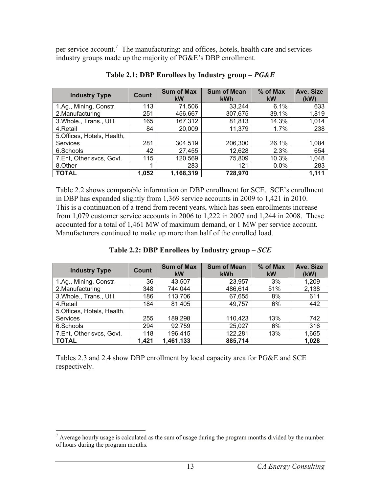per service account.<sup>7</sup> The manufacturing; and offices, hotels, health care and services industry groups made up the majority of PG&E's DBP enrollment.

| <b>Industry Type</b>        | Count | <b>Sum of Max</b><br><b>kW</b> | <b>Sum of Mean</b><br><b>kWh</b> | % of Max<br><b>kW</b> | Ave. Size<br>(kW) |
|-----------------------------|-------|--------------------------------|----------------------------------|-----------------------|-------------------|
| 1.Ag., Mining, Constr.      | 113   | 71,506                         | 33.244                           | 6.1%                  | 633               |
| 2. Manufacturing            | 251   | 456,667                        | 307,675                          | 39.1%                 | 1,819             |
| 3. Whole., Trans., Util.    | 165   | 167,312                        | 81,813                           | 14.3%                 | 1,014             |
| 4.Retail                    | 84    | 20,009                         | 11,379                           | 1.7%                  | 238               |
| 5. Offices, Hotels, Health, |       |                                |                                  |                       |                   |
| <b>Services</b>             | 281   | 304,519                        | 206,300                          | 26.1%                 | 1,084             |
| 6.Schools                   | 42    | 27,455                         | 12,628                           | 2.3%                  | 654               |
| 7.Ent, Other svcs, Govt.    | 115   | 120,569                        | 75,809                           | 10.3%                 | 1,048             |
| 8.Other                     |       | 283                            | 121                              | $0.0\%$               | 283               |
| <b>TOTAL</b>                | 1,052 | 1,168,319                      | 728,970                          |                       | 1,111             |

**Table 2.1: DBP Enrollees by Industry group –** *PG&E*

Table 2.2 shows comparable information on DBP enrollment for SCE. SCE's enrollment in DBP has expanded slightly from 1,369 service accounts in 2009 to 1,421 in 2010. This is a continuation of a trend from recent years, which has seen enrollments increase from 1,079 customer service accounts in 2006 to 1,222 in 2007 and 1,244 in 2008. These accounted for a total of 1,461 MW of maximum demand, or 1 MW per service account. Manufacturers continued to make up more than half of the enrolled load.

| <b>Industry Type</b>        | Count | <b>Sum of Max</b><br><b>kW</b> | <b>Sum of Mean</b><br><b>kWh</b> | % of Max<br>kW | Ave. Size<br>(kW) |
|-----------------------------|-------|--------------------------------|----------------------------------|----------------|-------------------|
| 1.Ag., Mining, Constr.      | 36    | 43.507                         | 23.957                           | 3%             | 1,209             |
| 2. Manufacturing            | 348   | 744,044                        | 486,614                          | 51%            | 2,138             |
| 3. Whole., Trans., Util.    | 186   | 113,706                        | 67,655                           | 8%             | 611               |
| 4.Retail                    | 184   | 81,405                         | 49,757                           | 6%             | 442               |
| 5. Offices, Hotels, Health, |       |                                |                                  |                |                   |
| <b>Services</b>             | 255   | 189,298                        | 110,423                          | 13%            | 742               |
| 6.Schools                   | 294   | 92,759                         | 25,027                           | 6%             | 316               |
| 7.Ent, Other svcs, Govt.    | 118   | 196,415                        | 122,281                          | 13%            | 1,665             |
| <b>TOTAL</b>                | 1,421 | 1,461,133                      | 885,714                          |                | 1,028             |

#### **Table 2.2: DBP Enrollees by Industry group –** *SCE*

Tables 2.3 and 2.4 show DBP enrollment by local capacity area for PG&E and SCE respectively.

<sup>&</sup>lt;sup>7</sup> Average hourly usage is calculated as the sum of usage during the program months divided by the number of hours during the program months.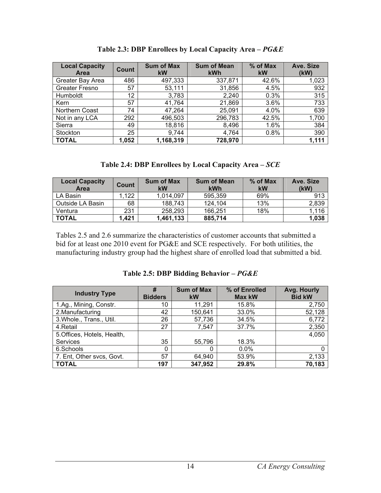| <b>Local Capacity</b><br>Area | Count | <b>Sum of Max</b><br>kW | <b>Sum of Mean</b><br><b>kWh</b> | $%$ of Max<br>kW | Ave. Size<br>(kW) |
|-------------------------------|-------|-------------------------|----------------------------------|------------------|-------------------|
| Greater Bay Area              | 486   | 497,333                 | 337,871                          | 42.6%            | 1,023             |
| Greater Fresno                | 57    | 53,111                  | 31,856                           | 4.5%             | 932               |
| Humboldt                      | 12    | 3,783                   | 2,240                            | 0.3%             | 315               |
| Kern                          | 57    | 41,764                  | 21,869                           | 3.6%             | 733               |
| Northern Coast                | 74    | 47,264                  | 25,091                           | 4.0%             | 639               |
| Not in any LCA                | 292   | 496,503                 | 296,783                          | 42.5%            | 1,700             |
| Sierra                        | 49    | 18,816                  | 8,496                            | 1.6%             | 384               |
| Stockton                      | 25    | 9,744                   | 4,764                            | 0.8%             | 390               |
| <b>TOTAL</b>                  | 1,052 | 1,168,319               | 728,970                          |                  | 1,111             |

**Table 2.3: DBP Enrollees by Local Capacity Area –** *PG&E* 

|  |  |  | Table 2.4: DBP Enrollees by Local Capacity Area – $SCE$ |
|--|--|--|---------------------------------------------------------|
|  |  |  |                                                         |

| <b>Local Capacity</b><br>Area | Count | <b>Sum of Max</b><br>kW | <b>Sum of Mean</b><br>kWh | % of Max<br>kW | Ave. Size<br>(kW) |
|-------------------------------|-------|-------------------------|---------------------------|----------------|-------------------|
| LA Basin                      | .122  | 1,014,097               | 595,359                   | 69%            | 913               |
| Outside LA Basin              | 68    | 188,743                 | 124.104                   | 13%            | 2,839             |
| Ventura                       | 231   | 258,293                 | 166,251                   | 18%            | 1,116             |
| <b>TOTAL</b>                  | 1,421 | 1,461,133               | 885,714                   |                | 1,038             |

Tables 2.5 and 2.6 summarize the characteristics of customer accounts that submitted a bid for at least one 2010 event for PG&E and SCE respectively. For both utilities, the manufacturing industry group had the highest share of enrolled load that submitted a bid.

| <b>Industry Type</b>        | #<br><b>Bidders</b> | <b>Sum of Max</b><br><b>kW</b> | % of Enrolled<br><b>Max kW</b> | Avg. Hourly<br><b>Bid kW</b> |
|-----------------------------|---------------------|--------------------------------|--------------------------------|------------------------------|
| 1.Ag., Mining, Constr.      | 10                  | 11,291                         | 15.8%                          | 2,750                        |
| 2. Manufacturing            | 42                  | 150,641                        | 33.0%                          | 52,128                       |
| 3. Whole., Trans., Util.    | 26                  | 57,736                         | 34.5%                          | 6,772                        |
| 4.Retail                    | 27                  | 7.547                          | 37.7%                          | 2,350                        |
| 5. Offices, Hotels, Health, |                     |                                |                                | 4,050                        |
| Services                    | 35                  | 55,796                         | 18.3%                          |                              |
| 6.Schools                   |                     |                                | 0.0%                           | 0                            |
| 7. Ent, Other svcs, Govt.   | 57                  | 64,940                         | 53.9%                          | 2,133                        |
| <b>TOTAL</b>                | 197                 | 347,952                        | 29.8%                          | 70,183                       |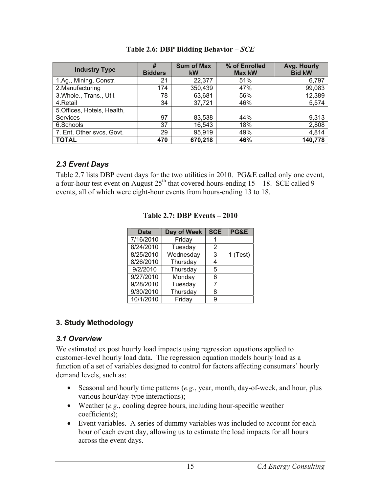| <b>Industry Type</b>       | #<br><b>Bidders</b> | <b>Sum of Max</b><br><b>kW</b> | % of Enrolled<br><b>Max kW</b> | Avg. Hourly<br><b>Bid kW</b> |
|----------------------------|---------------------|--------------------------------|--------------------------------|------------------------------|
| 1.Ag., Mining, Constr.     | 21                  | 22,377                         | 51%                            | 6,797                        |
| 2. Manufacturing           | 174                 | 350,439                        | 47%                            | 99,083                       |
| 3. Whole., Trans., Util.   | 78                  | 63,681                         | 56%                            | 12,389                       |
| 4.Retail                   | 34                  | 37,721                         | 46%                            | 5,574                        |
| 5.Offices, Hotels, Health, |                     |                                |                                |                              |
| Services                   | 97                  | 83,538                         | 44%                            | 9,313                        |
| 6.Schools                  | 37                  | 16,543                         | 18%                            | 2,808                        |
| 7. Ent, Other svcs, Govt.  | 29                  | 95,919                         | 49%                            | 4,814                        |
| <b>TOTAL</b>               | 470                 | 670,218                        | 46%                            | 140,778                      |

#### **Table 2.6: DBP Bidding Behavior –** *SCE*

#### *2.3 Event Days*

Table 2.7 lists DBP event days for the two utilities in 2010. PG&E called only one event, a four-hour test event on August  $25<sup>th</sup>$  that covered hours-ending  $15 - 18$ . SCE called 9 events, all of which were eight-hour events from hours-ending 13 to 18.

| <b>Date</b> | Day of Week | <b>SCE</b> | <b>PG&amp;E</b> |
|-------------|-------------|------------|-----------------|
| 7/16/2010   | Friday      |            |                 |
| 8/24/2010   | Tuesday     | 2          |                 |
| 8/25/2010   | Wednesday   | 3          | 1 (Test)        |
| 8/26/2010   | Thursday    | 4          |                 |
| 9/2/2010    | Thursday    | 5          |                 |
| 9/27/2010   | Monday      | 6          |                 |
| 9/28/2010   | Tuesday     |            |                 |
| 9/30/2010   | Thursday    | 8          |                 |
| 10/1/2010   | Friday      | 9          |                 |

#### **Table 2.7: DBP Events – 2010**

## **3. Study Methodology**

#### *3.1 Overview*

We estimated ex post hourly load impacts using regression equations applied to customer-level hourly load data. The regression equation models hourly load as a function of a set of variables designed to control for factors affecting consumers' hourly demand levels, such as:

- Seasonal and hourly time patterns (*e.g.*, year, month, day-of-week, and hour, plus various hour/day-type interactions);
- Weather (*e.g.*, cooling degree hours, including hour-specific weather coefficients);
- Event variables. A series of dummy variables was included to account for each hour of each event day, allowing us to estimate the load impacts for all hours across the event days.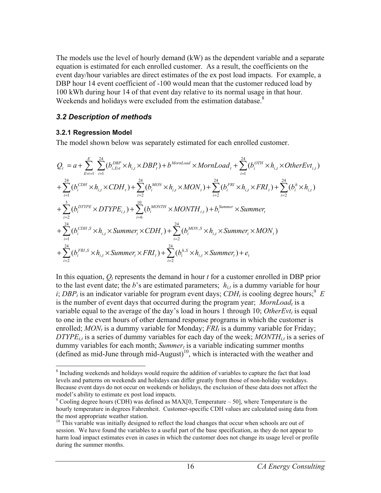The models use the level of hourly demand (kW) as the dependent variable and a separate equation is estimated for each enrolled customer. As a result, the coefficients on the event day/hour variables are direct estimates of the ex post load impacts. For example, a DBP hour 14 event coefficient of -100 would mean that the customer reduced load by 100 kWh during hour 14 of that event day relative to its normal usage in that hour. Weekends and holidays were excluded from the estimation database.<sup>8</sup>

#### *3.2 Description of methods*

#### **3.2.1 Regression Model**

The model shown below was separately estimated for each enrolled customer.

$$
Q_{t} = a + \sum_{E \text{v1}=1}^{E} \sum_{i=1}^{24} (b_{i,E \text{v1}}^{DBP} \times h_{i,t} \times DBP_{t}) + b^{MornLoad} \times MornLoad_{t} + \sum_{i=1}^{24} (b_{i}^{OTH} \times h_{i,t} \times OtherEvt_{i,t})
$$
  
+  $\sum_{i=1}^{24} (b_{i}^{CDH} \times h_{i,t} \times CDH_{t}) + \sum_{i=2}^{24} (b_{i}^{MON} \times h_{i,t} \times MON_{t}) + \sum_{i=2}^{24} (b_{i}^{FRI} \times h_{i,t} \times FRI_{t}) + \sum_{i=2}^{24} (b_{i}^{b} \times h_{i,t})$   
+  $\sum_{i=2}^{5} (b_{i}^{DTPPE} \times DTYPE_{i,t}) + \sum_{i=6}^{10} (b_{i}^{MONTH} \times MONTH_{i,t}) + b_{i}^{Summer} \times Summer_{t}$   
+  $\sum_{i=1}^{24} (b_{i}^{CDH,S} \times h_{i,t} \times Summer_{t} \times CDH_{t}) + \sum_{i=2}^{24} (b_{i}^{MON,S} \times h_{i,t} \times Summer_{t} \times MON_{t})$   
+  $\sum_{i=2}^{24} (b_{i}^{FRI,S} \times h_{i,t} \times Summer_{t} \times FRI_{t}) + \sum_{i=2}^{24} (b_{i}^{h,S} \times h_{i,t} \times Summer_{t}) + e_{t}$ 

In this equation,  $O_t$  represents the demand in hour  $t$  for a customer enrolled in DBP prior to the last event date; the *b*'s are estimated parameters;  $h_{i,t}$  is a dummy variable for hour *i*; *DBP<sub>t</sub>* is an indicator variable for program event days; *CDH<sub>t</sub>* is cooling degree hours;<sup>9</sup> *E* is the number of event days that occurred during the program year; *MornLoad<sub>t</sub>* is a variable equal to the average of the day's load in hours 1 through 10; OtherEvt<sub>t</sub> is equal to one in the event hours of other demand response programs in which the customer is enrolled;  $MON_t$  is a dummy variable for Monday;  $FRI_t$  is a dummy variable for Friday;  $DTYPE<sub>i,t</sub>$  is a series of dummy variables for each day of the week;  $MONTH<sub>i,t</sub>$  is a series of dummy variables for each month;  $Summer_t$  is a variable indicating summer months (defined as mid-June through mid-August)<sup>10</sup>, which is interacted with the weather and

 $\overline{a}$ <sup>8</sup> Including weekends and holidays would require the addition of variables to capture the fact that load levels and patterns on weekends and holidays can differ greatly from those of non-holiday weekdays. Because event days do not occur on weekends or holidays, the exclusion of these data does not affect the model's ability to estimate ex post load impacts.

 $9^9$  Cooling degree hours (CDH) was defined as MAX[0, Temperature – 50], where Temperature is the hourly temperature in degrees Fahrenheit. Customer-specific CDH values are calculated using data from the most appropriate weather station.

<sup>&</sup>lt;sup>10</sup> This variable was initially designed to reflect the load changes that occur when schools are out of session. We have found the variables to a useful part of the base specification, as they do not appear to harm load impact estimates even in cases in which the customer does not change its usage level or profile during the summer months.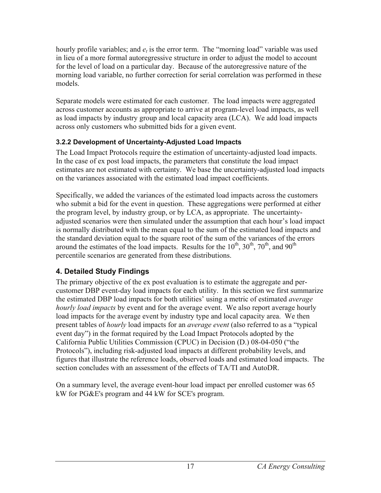hourly profile variables; and  $e_t$  is the error term. The "morning load" variable was used in lieu of a more formal autoregressive structure in order to adjust the model to account for the level of load on a particular day. Because of the autoregressive nature of the morning load variable, no further correction for serial correlation was performed in these models.

Separate models were estimated for each customer. The load impacts were aggregated across customer accounts as appropriate to arrive at program-level load impacts, as well as load impacts by industry group and local capacity area (LCA). We add load impacts across only customers who submitted bids for a given event.

## **3.2.2 Development of Uncertainty-Adjusted Load Impacts**

The Load Impact Protocols require the estimation of uncertainty-adjusted load impacts. In the case of ex post load impacts, the parameters that constitute the load impact estimates are not estimated with certainty. We base the uncertainty-adjusted load impacts on the variances associated with the estimated load impact coefficients.

Specifically, we added the variances of the estimated load impacts across the customers who submit a bid for the event in question. These aggregations were performed at either the program level, by industry group, or by LCA, as appropriate. The uncertaintyadjusted scenarios were then simulated under the assumption that each hour's load impact is normally distributed with the mean equal to the sum of the estimated load impacts and the standard deviation equal to the square root of the sum of the variances of the errors around the estimates of the load impacts. Results for the  $10^{th}$ ,  $30^{th}$ ,  $70^{th}$ , and  $90^{th}$ percentile scenarios are generated from these distributions.

# **4. Detailed Study Findings**

The primary objective of the ex post evaluation is to estimate the aggregate and percustomer DBP event-day load impacts for each utility. In this section we first summarize the estimated DBP load impacts for both utilities' using a metric of estimated *average hourly load impacts* by event and for the average event. We also report average hourly load impacts for the average event by industry type and local capacity area. We then present tables of *hourly* load impacts for an *average event* (also referred to as a "typical event day") in the format required by the Load Impact Protocols adopted by the California Public Utilities Commission (CPUC) in Decision (D.) 08-04-050 ("the Protocols"), including risk-adjusted load impacts at different probability levels, and figures that illustrate the reference loads, observed loads and estimated load impacts. The section concludes with an assessment of the effects of TA/TI and AutoDR.

On a summary level, the average event-hour load impact per enrolled customer was 65 kW for PG&E's program and 44 kW for SCE's program.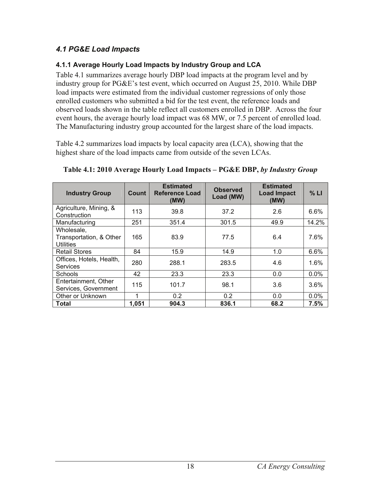## *4.1 PG&E Load Impacts*

#### **4.1.1 Average Hourly Load Impacts by Industry Group and LCA**

Table 4.1 summarizes average hourly DBP load impacts at the program level and by industry group for PG&E's test event, which occurred on August 25, 2010. While DBP load impacts were estimated from the individual customer regressions of only those enrolled customers who submitted a bid for the test event, the reference loads and observed loads shown in the table reflect all customers enrolled in DBP. Across the four event hours, the average hourly load impact was 68 MW, or 7.5 percent of enrolled load. The Manufacturing industry group accounted for the largest share of the load impacts.

Table 4.2 summarizes load impacts by local capacity area (LCA), showing that the highest share of the load impacts came from outside of the seven LCAs.

| <b>Industry Group</b>                                     | Count | <b>Estimated</b><br>Reference Load<br>(MW) | <b>Observed</b><br>Load (MW) | <b>Estimated</b><br><b>Load Impact</b><br>(MW) | % LI    |
|-----------------------------------------------------------|-------|--------------------------------------------|------------------------------|------------------------------------------------|---------|
| Agriculture, Mining, &<br>Construction                    | 113   | 39.8                                       | 37.2                         | 2.6                                            | 6.6%    |
| Manufacturing                                             | 251   | 351.4                                      | 301.5                        | 49.9                                           | 14.2%   |
| Wholesale,<br>Transportation, & Other<br><b>Utilities</b> | 165   | 83.9                                       | 77.5                         | 6.4                                            | 7.6%    |
| <b>Retail Stores</b>                                      | 84    | 15.9                                       | 14.9                         | 1.0                                            | 6.6%    |
| Offices, Hotels, Health,<br><b>Services</b>               | 280   | 288.1                                      | 283.5                        | 4.6                                            | 1.6%    |
| Schools                                                   | 42    | 23.3                                       | 23.3                         | 0.0                                            | 0.0%    |
| Entertainment, Other<br>Services, Government              | 115   | 101.7                                      | 98.1                         | 3.6                                            | 3.6%    |
| Other or Unknown                                          | 1     | 0.2                                        | 0.2                          | 0.0                                            | $0.0\%$ |
| <b>Total</b>                                              | 1,051 | 904.3                                      | 836.1                        | 68.2                                           | 7.5%    |

**Table 4.1: 2010 Average Hourly Load Impacts – PG&E DBP,** *by Industry Group*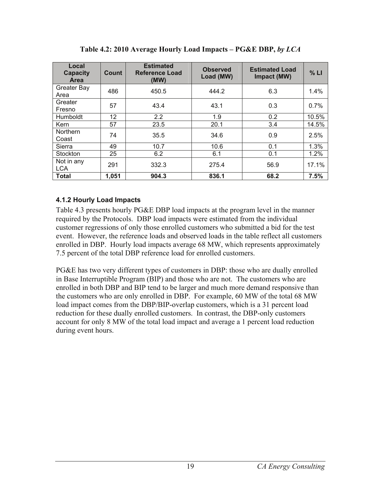| Local<br><b>Capacity</b><br>Area | <b>Count</b> | <b>Estimated</b><br>Reference Load<br>(MW) | <b>Observed</b><br>Load (MW) | <b>Estimated Load</b><br>Impact (MW) | % LI  |
|----------------------------------|--------------|--------------------------------------------|------------------------------|--------------------------------------|-------|
| <b>Greater Bay</b><br>Area       | 486          | 450.5                                      | 444.2                        | 6.3                                  | 1.4%  |
| Greater<br>Fresno                | 57           | 43.4                                       | 43.1                         | 0.3                                  | 0.7%  |
| Humboldt                         | 12           | 2.2                                        | 1.9                          | 0.2                                  | 10.5% |
| Kern                             | 57           | 23.5                                       | 20.1                         | 3.4                                  | 14.5% |
| <b>Northern</b><br>Coast         | 74           | 35.5                                       | 34.6                         | 0.9                                  | 2.5%  |
| Sierra                           | 49           | 10.7                                       | 10.6                         | 0.1                                  | 1.3%  |
| Stockton                         | 25           | 6.2                                        | 6.1                          | 0.1                                  | 1.2%  |
| Not in any<br><b>LCA</b>         | 291          | 332.3                                      | 275.4                        | 56.9                                 | 17.1% |
| <b>Total</b>                     | 1,051        | 904.3                                      | 836.1                        | 68.2                                 | 7.5%  |

**Table 4.2: 2010 Average Hourly Load Impacts – PG&E DBP,** *by LCA*

#### **4.1.2 Hourly Load Impacts**

Table 4.3 presents hourly PG&E DBP load impacts at the program level in the manner required by the Protocols. DBP load impacts were estimated from the individual customer regressions of only those enrolled customers who submitted a bid for the test event. However, the reference loads and observed loads in the table reflect all customers enrolled in DBP. Hourly load impacts average 68 MW, which represents approximately 7.5 percent of the total DBP reference load for enrolled customers.

PG&E has two very different types of customers in DBP: those who are dually enrolled in Base Interruptible Program (BIP) and those who are not. The customers who are enrolled in both DBP and BIP tend to be larger and much more demand responsive than the customers who are only enrolled in DBP. For example, 60 MW of the total 68 MW load impact comes from the DBP/BIP-overlap customers, which is a 31 percent load reduction for these dually enrolled customers. In contrast, the DBP-only customers account for only 8 MW of the total load impact and average a 1 percent load reduction during event hours.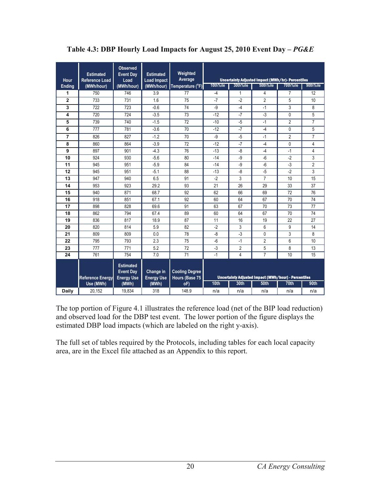| Hour           | <b>Estimated</b><br><b>Reference Load</b> | <b>Observed</b><br><b>Event Day</b><br>Load               | <b>Estimated</b><br><b>Load Impact</b> | Weighted<br>Average                     |          |                | Uncertainty Adjusted Impact (MWh/hr)- Percentiles    |                |                |
|----------------|-------------------------------------------|-----------------------------------------------------------|----------------------------------------|-----------------------------------------|----------|----------------|------------------------------------------------------|----------------|----------------|
| <b>Ending</b>  | (MWh/hour)                                | (MWh/hour)                                                | (MWh/hour)                             | Temperature (°F)                        | 10th%ile | 30th%ile       | 50th%ile                                             | 70th%ile       | 90th%ile       |
| 1              | 750                                       | 746                                                       | 3.9                                    | 77                                      | $-4$     | $\mathbf{1}$   | 4                                                    | $\overline{7}$ | 12             |
| $\overline{2}$ | 733                                       | 731                                                       | 1.6                                    | 75                                      | $-7$     | $-2$           | $\overline{2}$                                       | 5              | 10             |
| 3              | 722                                       | 723                                                       | $-0.6$                                 | 74                                      | -9       | $-4$           | $-1$                                                 | 3              | 8              |
| 4              | 720                                       | 724                                                       | $-3.5$                                 | 73                                      | $-12$    | $-7$           | $-3$                                                 | 0              | 5              |
| 5              | 739                                       | 740                                                       | $-1.5$                                 | 72                                      | $-10$    | $-5$           | $-1$                                                 | $\overline{2}$ | $\overline{7}$ |
| 6              | 777                                       | 781                                                       | $-3.6$                                 | 70                                      | $-12$    | $-7$           | $-4$                                                 | 0              | 5              |
| 7              | 826                                       | 827                                                       | $-1.2$                                 | 70                                      | -9       | $-5$           | $-1$                                                 | $\overline{2}$ | $\overline{7}$ |
| 8              | 860                                       | 864                                                       | $-3.9$                                 | 72                                      | $-12$    | $-7$           | $-4$                                                 | $\mathbf{0}$   | 4              |
| 9              | 897                                       | 901                                                       | $-4.3$                                 | 76                                      | $-13$    | $-8$           | $-4$                                                 | $-1$           | 4              |
| 10             | 924                                       | 930                                                       | $-5.6$                                 | 80                                      | $-14$    | $-9$           | -6                                                   | $-2$           | 3              |
| 11             | 945                                       | 951                                                       | $-5.9$                                 | 84                                      | $-14$    | -9             | $-6$                                                 | $-3$           | $\overline{2}$ |
| 12             | 945                                       | 951                                                       | $-5.1$                                 | 88                                      | $-13$    | -8             | $-5$                                                 | $-2$           | 3              |
| 13             | 947                                       | 940                                                       | 6.5                                    | 91                                      | $-2$     | 3              | $\overline{7}$                                       | 10             | 15             |
| 14             | 953                                       | 923                                                       | 29.2                                   | 93                                      | 21       | 26             | 29                                                   | 33             | 37             |
| 15             | 940                                       | 871                                                       | 68.7                                   | 92                                      | 62       | 66             | 69                                                   | 72             | 76             |
| 16             | 918                                       | 851                                                       | 67.1                                   | 92                                      | 60       | 64             | 67                                                   | 70             | 74             |
| 17             | 898                                       | 828                                                       | 69.6                                   | 91                                      | 63       | 67             | 70                                                   | 73             | 77             |
| 18             | 862                                       | 794                                                       | 67.4                                   | 89                                      | 60       | 64             | 67                                                   | 70             | 74             |
| 19             | 836                                       | 817                                                       | 18.9                                   | 87                                      | 11       | 16             | 19                                                   | 22             | 27             |
| 20             | 820                                       | 814                                                       | 5.9                                    | 82                                      | $-2$     | 3              | 6                                                    | 9              | 14             |
| 21             | 809                                       | 809                                                       | 0.0                                    | 78                                      | -8       | $-3$           | 0                                                    | 3              | 8              |
| 22             | 795                                       | 793                                                       | 2.3                                    | 75                                      | $-6$     | $-1$           | $\overline{2}$                                       | 6              | 10             |
| 23             | 777                                       | 771                                                       | 5.2                                    | 72                                      | $-3$     | $\overline{2}$ | 5                                                    | 8              | 13             |
| 24             | 761                                       | 754                                                       | 7.0                                    | 71                                      | $-1$     | 4              | $\overline{7}$                                       | 10             | 15             |
|                | <b>Reference Energy</b>                   | <b>Estimated</b><br><b>Event Day</b><br><b>Energy Use</b> | Change in<br><b>Energy Use</b>         | <b>Cooling Degree</b><br>Hours (Base 75 |          |                | Uncertainty Adjusted Impact (MWh/hour) - Percentiles |                |                |
|                | Use (MWh)                                 | (MWh)                                                     | (MWh)                                  | oF)                                     | 10th     | 30th           | 50th                                                 | 70th           | 90th           |
| <b>Daily</b>   | 20,152                                    | 19,834                                                    | 318                                    | 148.9                                   | n/a      | n/a            | n/a                                                  | n/a            | n/a            |

## Table 4.3: DBP Hourly Load Impacts for August 25, 2010 Event Day - PG&E

The top portion of Figure 4.1 illustrates the reference load (net of the BIP load reduction) and observed load for the DBP test event. The lower portion of the figure displays the estimated DBP load impacts (which are labeled on the right y-axis).

The full set of tables required by the Protocols, including tables for each local capacity area, are in the Excel file attached as an Appendix to this report.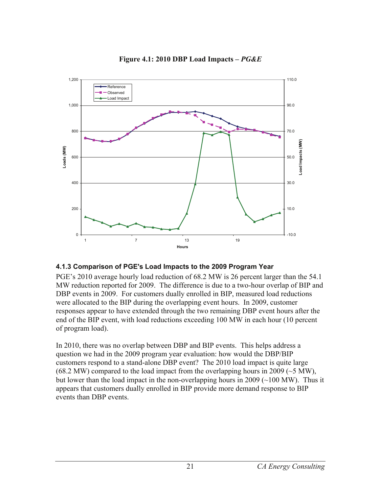

#### **Figure 4.1: 2010 DBP Load Impacts –** *PG&E*

#### **4.1.3 Comparison of PGE's Load Impacts to the 2009 Program Year**

PGE's 2010 average hourly load reduction of 68.2 MW is 26 percent larger than the 54.1 MW reduction reported for 2009. The difference is due to a two-hour overlap of BIP and DBP events in 2009. For customers dually enrolled in BIP, measured load reductions were allocated to the BIP during the overlapping event hours. In 2009, customer responses appear to have extended through the two remaining DBP event hours after the end of the BIP event, with load reductions exceeding 100 MW in each hour (10 percent of program load).

In 2010, there was no overlap between DBP and BIP events. This helps address a question we had in the 2009 program year evaluation: how would the DBP/BIP customers respond to a stand-alone DBP event? The 2010 load impact is quite large  $(68.2 \text{ MW})$  compared to the load impact from the overlapping hours in 2009 ( $\sim$ 5 MW), but lower than the load impact in the non-overlapping hours in  $2009$  ( $\sim$ 100 MW). Thus it appears that customers dually enrolled in BIP provide more demand response to BIP events than DBP events.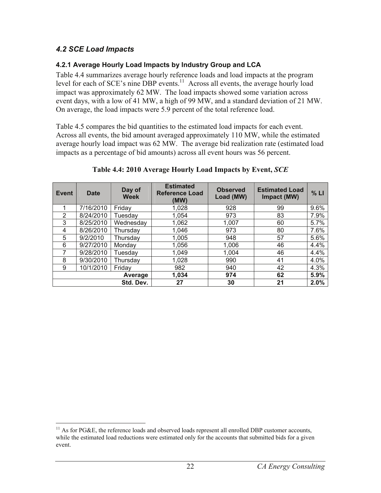## *4.2 SCE Load Impacts*

#### **4.2.1 Average Hourly Load Impacts by Industry Group and LCA**

Table 4.4 summarizes average hourly reference loads and load impacts at the program level for each of SCE's nine DBP events.<sup>11</sup> Across all events, the average hourly load impact was approximately 62 MW. The load impacts showed some variation across event days, with a low of 41 MW, a high of 99 MW, and a standard deviation of 21 MW. On average, the load impacts were 5.9 percent of the total reference load.

Table 4.5 compares the bid quantities to the estimated load impacts for each event. Across all events, the bid amount averaged approximately 110 MW, while the estimated average hourly load impact was 62 MW. The average bid realization rate (estimated load impacts as a percentage of bid amounts) across all event hours was 56 percent.

| Event | <b>Date</b> | Day of<br><b>Week</b>       | <b>Estimated</b><br><b>Reference Load</b><br>(MW) | <b>Observed</b><br>Load (MW) | <b>Estimated Load</b><br>Impact (MW) | % LI |
|-------|-------------|-----------------------------|---------------------------------------------------|------------------------------|--------------------------------------|------|
| 1     | 7/16/2010   | Friday                      | 1,028                                             | 928                          | 99                                   | 9.6% |
| 2     | 8/24/2010   | Tuesday                     | 1,054                                             | 973                          | 83                                   | 7.9% |
| 3     | 8/25/2010   | Wednesday<br>1,062<br>1,007 |                                                   | 60                           | 5.7%                                 |      |
| 4     | 8/26/2010   | 1,046<br>Thursday           |                                                   | 973                          | 80                                   | 7.6% |
| 5     | 9/2/2010    | Thursday                    | 1,005                                             | 948                          | 57                                   | 5.6% |
| 6     | 9/27/2010   | Monday                      | 1,056                                             | 1,006                        | 46                                   | 4.4% |
| 7     | 9/28/2010   | Tuesday                     | 1,049                                             | 1,004                        | 46                                   | 4.4% |
| 8     | 9/30/2010   | Thursday                    | 1,028                                             | 990                          | 41                                   | 4.0% |
| 9     | 10/1/2010   | Friday                      | 982                                               | 940                          | 42                                   | 4.3% |
|       |             | Average                     | 1,034                                             | 974                          | 62                                   | 5.9% |
|       |             | Std. Dev.                   | 27                                                | 30                           | 21                                   | 2.0% |

#### **Table 4.4: 2010 Average Hourly Load Impacts by Event,** *SCE*

 $\overline{a}$  $11$  As for PG&E, the reference loads and observed loads represent all enrolled DBP customer accounts, while the estimated load reductions were estimated only for the accounts that submitted bids for a given event.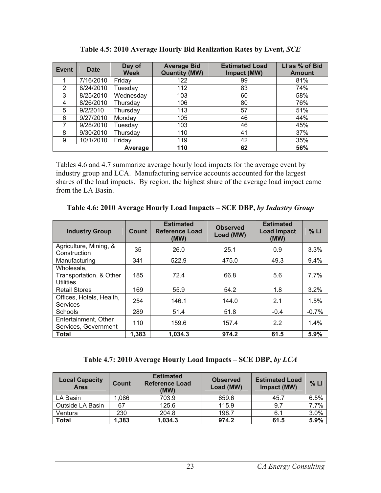| Event | <b>Date</b> | Day of<br><b>Week</b> | <b>Average Bid</b><br><b>Quantity (MW)</b> | <b>Estimated Load</b><br>Impact (MW) | LI as % of Bid<br><b>Amount</b> |
|-------|-------------|-----------------------|--------------------------------------------|--------------------------------------|---------------------------------|
|       | 7/16/2010   | Friday                | 122                                        | 99                                   | 81%                             |
| 2     | 8/24/2010   | Tuesday               | 112                                        | 83                                   | 74%                             |
| 3     | 8/25/2010   | Wednesday             | 103                                        | 60                                   | 58%                             |
| 4     | 8/26/2010   | Thursday              | 106                                        | 80                                   | 76%                             |
| 5     | 9/2/2010    | Thursday              | 113                                        | 57                                   | 51%                             |
| 6     | 9/27/2010   | Monday                | 105                                        | 46                                   | 44%                             |
| 7     | 9/28/2010   | Tuesday               | 103                                        | 46                                   | 45%                             |
| 8     | 9/30/2010   | Thursday              | 110                                        | 41                                   | 37%                             |
| 9     | 10/1/2010   | Friday                | 119                                        | 42                                   | 35%                             |
|       |             | Average               | 110                                        | 62                                   | 56%                             |

| Table 4.5: 2010 Average Hourly Bid Realization Rates by Event, SCE |  |
|--------------------------------------------------------------------|--|
|                                                                    |  |

Tables 4.6 and 4.7 summarize average hourly load impacts for the average event by industry group and LCA. Manufacturing service accounts accounted for the largest shares of the load impacts. By region, the highest share of the average load impact came from the LA Basin.

| <b>Industry Group</b>                                     | Count | <b>Estimated</b><br><b>Reference Load</b><br>(MW) | <b>Observed</b><br>Load (MW) | <b>Estimated</b><br><b>Load Impact</b><br>(MW) | % LI    |
|-----------------------------------------------------------|-------|---------------------------------------------------|------------------------------|------------------------------------------------|---------|
| Agriculture, Mining, &<br>Construction                    | 35    | 26.0                                              | 25.1                         | 0.9                                            | 3.3%    |
| Manufacturing                                             | 341   | 522.9                                             | 475.0                        | 49.3                                           | 9.4%    |
| Wholesale,<br>Transportation, & Other<br><b>Utilities</b> | 185   | 72.4                                              | 66.8                         | 5.6                                            | 7.7%    |
| <b>Retail Stores</b>                                      | 169   | 55.9                                              | 54.2                         | 1.8                                            | 3.2%    |
| Offices, Hotels, Health,<br>Services                      | 254   | 146.1                                             | 144.0                        | 2.1                                            | 1.5%    |
| <b>Schools</b>                                            | 289   | 51.4                                              | 51.8                         | $-0.4$                                         | $-0.7%$ |
| Entertainment, Other<br>Services, Government              | 110   | 159.6                                             | 157.4                        | 2.2                                            | 1.4%    |
| Total                                                     | 1,383 | 1,034.3                                           | 974.2                        | 61.5                                           | 5.9%    |

**Table 4.6: 2010 Average Hourly Load Impacts – SCE DBP,** *by Industry Group*

**Table 4.7: 2010 Average Hourly Load Impacts – SCE DBP,** *by LCA*

| <b>Local Capacity</b><br>Area | Count        | <b>Estimated</b><br><b>Reference Load</b><br>(MW) | <b>Observed</b><br>Load (MW) | <b>Estimated Load</b><br>Impact (MW) | % LI |
|-------------------------------|--------------|---------------------------------------------------|------------------------------|--------------------------------------|------|
| LA Basin                      | .086         | 703.9                                             | 659.6                        | 45.7                                 | 6.5% |
| Outside LA Basin              | 67           | 125.6                                             | 115.9                        | 9.7                                  | 7.7% |
| Ventura                       | 230<br>204.8 |                                                   | 198.7                        | 6.1                                  | 3.0% |
| <b>Total</b>                  | 1,383        | 1,034.3                                           | 974.2                        | 61.5                                 | 5.9% |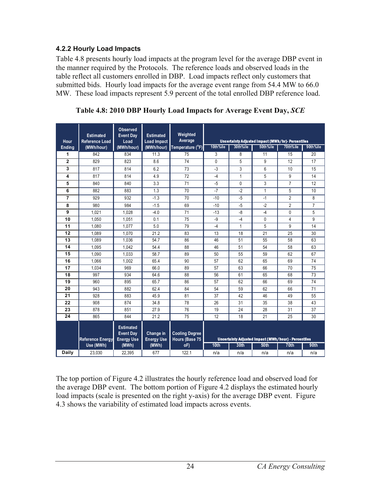#### **4.2.2 Hourly Load Impacts**

Table 4.8 presents hourly load impacts at the program level for the average DBP event in the manner required by the Protocols. The reference loads and observed loads in the table reflect all customers enrolled in DBP. Load impacts reflect only customers that submitted bids. Hourly load impacts for the average event range from 54.4 MW to 66.0 MW. These load impacts represent 5.9 percent of the total enrolled DBP reference load.

| Hour           | <b>Estimated</b><br><b>Reference Load</b> | <b>Observed</b><br><b>Event Day</b><br>Load               | <b>Estimated</b><br><b>Load Impact</b> | Weighted<br>Average                     |          |             | Uncertainty Adjusted Impact (MWh/hr)- Percentiles    |                |                |
|----------------|-------------------------------------------|-----------------------------------------------------------|----------------------------------------|-----------------------------------------|----------|-------------|------------------------------------------------------|----------------|----------------|
| Ending         | (MWh/hour)                                | (MWh/hour)                                                | (MWh/hour)                             | Temperature (°F)                        | 10th%ile | 30th%ile    | 50th%ile                                             | 70th%ile       | 90th%ile       |
| 1              | 842                                       | 834                                                       | 11.3                                   | 75                                      | 3        | 8           | 11                                                   | 15             | 20             |
| $\overline{2}$ | 829                                       | 823                                                       | 8.6                                    | 74                                      | 0        | 5           | 9                                                    | 12             | 17             |
| 3              | 817                                       | 814                                                       | 6.2                                    | 73                                      | $-3$     | 3           | 6                                                    | 10             | 15             |
| 4              | 817                                       | 814                                                       | 4.9                                    | 72                                      | $-4$     | 1           | 5                                                    | 9              | 14             |
| 5              | 840                                       | 840                                                       | 3.3                                    | 71                                      | $-5$     | $\mathbf 0$ | 3                                                    | $\overline{7}$ | 12             |
| 6              | 882                                       | 883                                                       | 1.3                                    | 70                                      | $-7$     | $-2$        | 1                                                    | 5              | 10             |
| 7              | 929                                       | 932                                                       | $-1.3$                                 | 70                                      | $-10$    | $-5$        | $-1$                                                 | $\overline{2}$ | 8              |
| 8              | 980                                       | 984                                                       | $-1.5$                                 | 69                                      | $-10$    | $-5$        | $-2$                                                 | $\overline{2}$ | $\overline{7}$ |
| 9              | 1,021                                     | 1,028                                                     | $-4.0$                                 | 71                                      | $-13$    | $-8$        | $-4$                                                 | $\mathbf{0}$   | 5              |
| 10             | 1,050                                     | 1,051                                                     | 0.1                                    | 75                                      | -9       | $-4$        | 0                                                    | $\overline{4}$ | 9              |
| 11             | 1.080                                     | 1.077                                                     | 5.0                                    | 79                                      | $-4$     | 1           | 5                                                    | 9              | 14             |
| 12             | 1.089                                     | 1.070                                                     | 21.2                                   | 83                                      | 13       | 18          | 21                                                   | 25             | 30             |
| 13             | 1.089                                     | 1.036                                                     | 54.7                                   | 86                                      | 46       | 51          | 55                                                   | 58             | 63             |
| 14             | 1,095                                     | 1.042                                                     | 54.4                                   | 88                                      | 46       | 51          | 54                                                   | 58             | 63             |
| 15             | 1,090                                     | 1.033                                                     | 58.7                                   | 89                                      | 50       | 55          | 59                                                   | 62             | 67             |
| 16             | 1.066                                     | 1.002                                                     | 65.4                                   | 90                                      | 57       | 62          | 65                                                   | 69             | 74             |
| 17             | 1,034                                     | 969                                                       | 66.0                                   | 89                                      | 57       | 63          | 66                                                   | 70             | 75             |
| 18             | 997                                       | 934                                                       | 64.6                                   | 88                                      | 56       | 61          | 65                                                   | 68             | 73             |
| 19             | 960                                       | 895                                                       | 65.7                                   | 86                                      | 57       | 62          | 66                                                   | 69             | 74             |
| 20             | 943                                       | 882                                                       | 62.4                                   | 84                                      | 54       | 59          | 62                                                   | 66             | 71             |
| 21             | 928                                       | 883                                                       | 45.9                                   | 81                                      | 37       | 42          | 46                                                   | 49             | 55             |
| 22             | 908                                       | 874                                                       | 34.8                                   | 78                                      | 26       | 31          | 35                                                   | 38             | 43             |
| 23             | 878                                       | 851                                                       | 27.9                                   | 76                                      | 19       | 24          | 28                                                   | 31             | 37             |
| 24             | 865                                       | 844                                                       | 21.2                                   | $\overline{75}$                         | 12       | 18          | 21                                                   | 25             | 30             |
|                | <b>Reference Energy</b>                   | <b>Estimated</b><br><b>Event Day</b><br><b>Energy Use</b> | Change in<br><b>Energy Use</b>         | <b>Cooling Degree</b><br>Hours (Base 75 |          |             | Uncertainty Adjusted Impact (MWh/hour) - Percentiles |                |                |
|                | Use (MWh)                                 | (MWh)                                                     | (MWh)                                  | oF)                                     | 10th     | 30th        | <b>50th</b>                                          | <b>70th</b>    | 90th           |
| Daily          | 23,030                                    | 22,395                                                    | 677                                    | 122.1                                   | n/a      | n/a         | n/a                                                  | n/a            | n/a            |

**Table 4.8: 2010 DBP Hourly Load Impacts for Average Event Day,** *SCE*

The top portion of Figure 4.2 illustrates the hourly reference load and observed load for the average DBP event. The bottom portion of Figure 4.2 displays the estimated hourly load impacts (scale is presented on the right y-axis) for the average DBP event. Figure 4.3 shows the variability of estimated load impacts across events.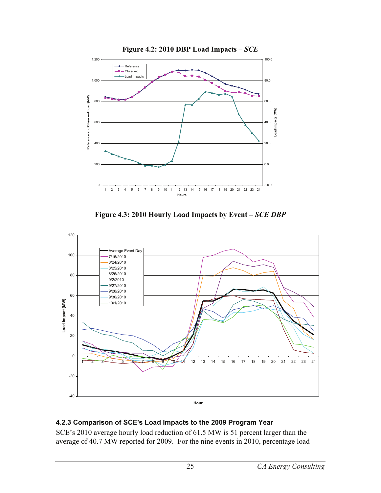

**Figure 4.3: 2010 Hourly Load Impacts by Event –** *SCE DBP*



#### **4.2.3 Comparison of SCE's Load Impacts to the 2009 Program Year**

SCE's 2010 average hourly load reduction of 61.5 MW is 51 percent larger than the average of 40.7 MW reported for 2009. For the nine events in 2010, percentage load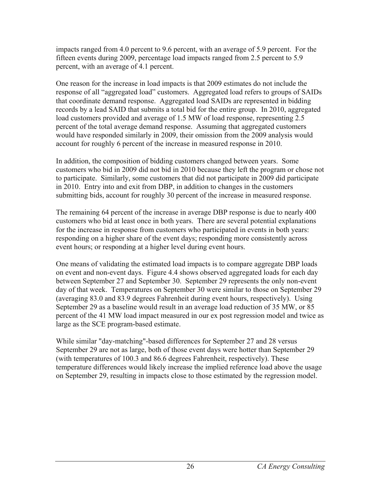impacts ranged from 4.0 percent to 9.6 percent, with an average of 5.9 percent. For the fifteen events during 2009, percentage load impacts ranged from 2.5 percent to 5.9 percent, with an average of 4.1 percent.

One reason for the increase in load impacts is that 2009 estimates do not include the response of all "aggregated load" customers. Aggregated load refers to groups of SAIDs that coordinate demand response. Aggregated load SAIDs are represented in bidding records by a lead SAID that submits a total bid for the entire group. In 2010, aggregated load customers provided and average of 1.5 MW of load response, representing 2.5 percent of the total average demand response. Assuming that aggregated customers would have responded similarly in 2009, their omission from the 2009 analysis would account for roughly 6 percent of the increase in measured response in 2010.

In addition, the composition of bidding customers changed between years. Some customers who bid in 2009 did not bid in 2010 because they left the program or chose not to participate. Similarly, some customers that did not participate in 2009 did participate in 2010. Entry into and exit from DBP, in addition to changes in the customers submitting bids, account for roughly 30 percent of the increase in measured response.

The remaining 64 percent of the increase in average DBP response is due to nearly 400 customers who bid at least once in both years. There are several potential explanations for the increase in response from customers who participated in events in both years: responding on a higher share of the event days; responding more consistently across event hours; or responding at a higher level during event hours.

One means of validating the estimated load impacts is to compare aggregate DBP loads on event and non-event days. Figure 4.4 shows observed aggregated loads for each day between September 27 and September 30. September 29 represents the only non-event day of that week. Temperatures on September 30 were similar to those on September 29 (averaging 83.0 and 83.9 degrees Fahrenheit during event hours, respectively). Using September 29 as a baseline would result in an average load reduction of 35 MW, or 85 percent of the 41 MW load impact measured in our ex post regression model and twice as large as the SCE program-based estimate.

While similar "day-matching"-based differences for September 27 and 28 versus September 29 are not as large, both of those event days were hotter than September 29 (with temperatures of 100.3 and 86.6 degrees Fahrenheit, respectively). These temperature differences would likely increase the implied reference load above the usage on September 29, resulting in impacts close to those estimated by the regression model.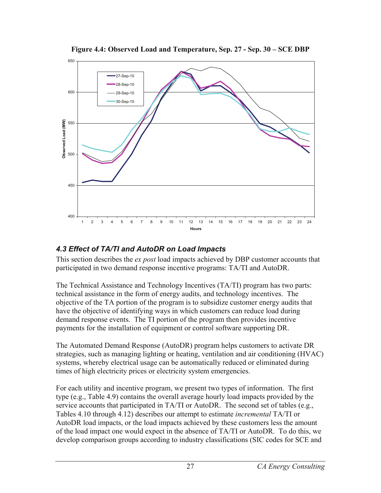

**Figure 4.4: Observed Load and Temperature, Sep. 27 - Sep. 30 – SCE DBP** 

## *4.3 Effect of TA/TI and AutoDR on Load Impacts*

This section describes the *ex post* load impacts achieved by DBP customer accounts that participated in two demand response incentive programs: TA/TI and AutoDR.

The Technical Assistance and Technology Incentives (TA/TI) program has two parts: technical assistance in the form of energy audits, and technology incentives. The objective of the TA portion of the program is to subsidize customer energy audits that have the objective of identifying ways in which customers can reduce load during demand response events. The TI portion of the program then provides incentive payments for the installation of equipment or control software supporting DR.

The Automated Demand Response (AutoDR) program helps customers to activate DR strategies, such as managing lighting or heating, ventilation and air conditioning (HVAC) systems, whereby electrical usage can be automatically reduced or eliminated during times of high electricity prices or electricity system emergencies.

For each utility and incentive program, we present two types of information. The first type (e.g., Table 4.9) contains the overall average hourly load impacts provided by the service accounts that participated in TA/TI or AutoDR. The second set of tables (e.g., Tables 4.10 through 4.12) describes our attempt to estimate *incremental* TA/TI or AutoDR load impacts, or the load impacts achieved by these customers less the amount of the load impact one would expect in the absence of TA/TI or AutoDR. To do this, we develop comparison groups according to industry classifications (SIC codes for SCE and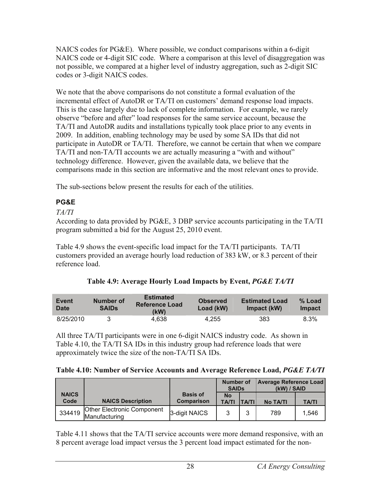NAICS codes for PG&E). Where possible, we conduct comparisons within a 6-digit NAICS code or 4-digit SIC code. Where a comparison at this level of disaggregation was not possible, we compared at a higher level of industry aggregation, such as 2-digit SIC codes or 3-digit NAICS codes.

We note that the above comparisons do not constitute a formal evaluation of the incremental effect of AutoDR or TA/TI on customers' demand response load impacts. This is the case largely due to lack of complete information. For example, we rarely observe "before and after" load responses for the same service account, because the TA/TI and AutoDR audits and installations typically took place prior to any events in 2009. In addition, enabling technology may be used by some SA IDs that did not participate in AutoDR or TA/TI. Therefore, we cannot be certain that when we compare TA/TI and non-TA/TI accounts we are actually measuring a "with and without" technology difference. However, given the available data, we believe that the comparisons made in this section are informative and the most relevant ones to provide.

The sub-sections below present the results for each of the utilities.

# **PG&E**

## *TA/TI*

According to data provided by PG&E, 3 DBP service accounts participating in the TA/TI program submitted a bid for the August 25, 2010 event.

Table 4.9 shows the event-specific load impact for the TA/TI participants. TA/TI customers provided an average hourly load reduction of 383 kW, or 8.3 percent of their reference load.

| <b>Event</b><br>Date | Number of<br><b>SAIDS</b> | <b>Estimated</b><br><b>Reference Load</b><br>(kW) | <b>Observed</b><br>Load (kW) | <b>Estimated Load</b><br>Impact (kW) | $%$ Load<br>Impact |
|----------------------|---------------------------|---------------------------------------------------|------------------------------|--------------------------------------|--------------------|
| 8/25/2010            |                           | 4.638                                             | 4.255                        | 383                                  | 8.3%               |

| Table 4.9: Average Hourly Load Impacts by Event, PG&E TA/TI |  |  |  |
|-------------------------------------------------------------|--|--|--|
|-------------------------------------------------------------|--|--|--|

All three TA/TI participants were in one 6-digit NAICS industry code. As shown in Table 4.10, the TA/TI SA IDs in this industry group had reference loads that were approximately twice the size of the non-TA/TI SA IDs.

|  | Table 4.10: Number of Service Accounts and Average Reference Load, PG&E TA/TI |
|--|-------------------------------------------------------------------------------|
|  |                                                                               |

|                      |                                                    | <b>Average Reference Load</b><br><b>Number of</b><br><b>SAIDs</b><br>(kW) / SAID |                           |              |                 |              |
|----------------------|----------------------------------------------------|----------------------------------------------------------------------------------|---------------------------|--------------|-----------------|--------------|
| <b>NAICS</b><br>Code | <b>NAICS Description</b>                           | <b>Basis of</b><br>Comparison                                                    | <b>No</b><br><b>TA/TI</b> | <b>TA/TI</b> | <b>No TA/TI</b> | <b>TA/TI</b> |
| 334419               | <b>Other Electronic Component</b><br>Manufacturing | 3-digit NAICS                                                                    | 2                         | 2            | 789             | 1.546        |

Table 4.11 shows that the TA/TI service accounts were more demand responsive, with an 8 percent average load impact versus the 3 percent load impact estimated for the non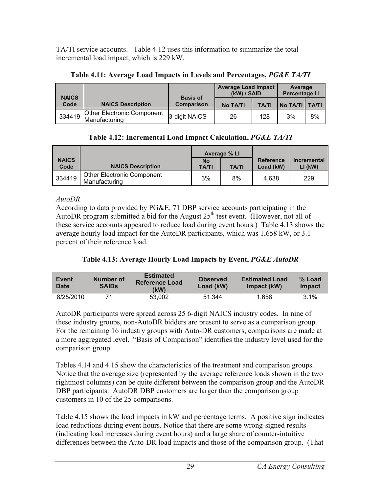TA/TI service accounts. Table 4.12 uses this information to summarize the total incremental load impact, which is 229 kW.

|                      |                                                    |                                      | <b>Average Load Impact</b><br>(kW) / SAID |              | Average<br><b>Percentage LI</b> |    |
|----------------------|----------------------------------------------------|--------------------------------------|-------------------------------------------|--------------|---------------------------------|----|
| <b>NAICS</b><br>Code | <b>NAICS Description</b>                           | <b>Basis of</b><br><b>Comparison</b> | No TA/TI                                  | <b>TA/TI</b> | No TA/TI   TA/TI                |    |
| 334419               | <b>Other Electronic Component</b><br>Manufacturing | 3-digit NAICS                        | 26                                        | 128          | 3%                              | 8% |

#### **Table 4.11: Average Load Impacts in Levels and Percentages,** *PG&E TA/TI*

**Table 4.12: Incremental Load Impact Calculation,** *PG&E TA/TI*

|                      |                                                    | <b>Average % LI</b>       |              |                        |                          |
|----------------------|----------------------------------------------------|---------------------------|--------------|------------------------|--------------------------|
| <b>NAICS</b><br>Code | <b>NAICS Description</b>                           | <b>No</b><br><b>TA/TI</b> | <b>TA/TI</b> | Reference<br>Load (kW) | Incremental<br>$LI$ (kW) |
| 334419               | <b>Other Electronic Component</b><br>Manufacturing | 3%                        | 8%           | 4.638                  | 229                      |

#### *AutoDR*

According to data provided by PG&E, 71 DBP service accounts participating in the AutoDR program submitted a bid for the August  $25<sup>th</sup>$  test event. (However, not all of these service accounts appeared to reduce load during event hours.) Table 4.13 shows the average hourly load impact for the AutoDR participants, which was 1,658 kW, or 3.1 percent of their reference load.

## **Table 4.13: Average Hourly Load Impacts by Event,** *PG&E AutoDR*

| Event<br><b>Date</b> | Number of<br><b>SAIDS</b> | <b>Estimated</b><br><b>Reference Load</b><br>(kW) | <b>Observed</b><br>Load (kW) | <b>Estimated Load</b><br>Impact (kW) | % Load<br><b>Impact</b> |
|----------------------|---------------------------|---------------------------------------------------|------------------------------|--------------------------------------|-------------------------|
| 8/25/2010            | 71                        | 53.002                                            | 51.344                       | 1.658                                | $3.1\%$                 |

AutoDR participants were spread across 25 6-digit NAICS industry codes. In nine of these industry groups, non-AutoDR bidders are present to serve as a comparison group. For the remaining 16 industry groups with Auto-DR customers, comparisons are made at a more aggregated level. "Basis of Comparison" identifies the industry level used for the comparison group.

Tables 4.14 and 4.15 show the characteristics of the treatment and comparison groups. Notice that the average size (represented by the average reference loads shown in the two rightmost columns) can be quite different between the comparison group and the AutoDR DBP participants. AutoDR DBP customers are larger than the comparison group customers in 10 of the 25 comparisons.

Table 4.15 shows the load impacts in kW and percentage terms. A positive sign indicates load reductions during event hours. Notice that there are some wrong-signed results (indicating load increases during event hours) and a large share of counter-intuitive differences between the Auto-DR load impacts and those of the comparison group. (That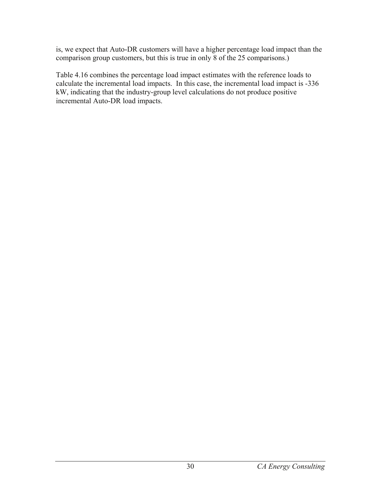is, we expect that Auto-DR customers will have a higher percentage load impact than the comparison group customers, but this is true in only 8 of the 25 comparisons.)

Table 4.16 combines the percentage load impact estimates with the reference loads to calculate the incremental load impacts. In this case, the incremental load impact is -336 kW, indicating that the industry-group level calculations do not produce positive incremental Auto-DR load impacts.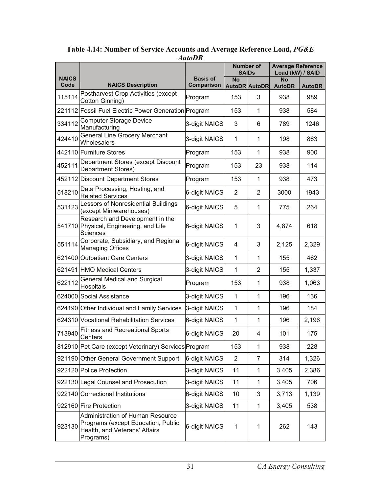|                      |                                                                                                                      |                               | <b>Number of</b><br><b>SAIDs</b> |                      | <b>Average Reference</b><br>Load (kW) / SAID |               |
|----------------------|----------------------------------------------------------------------------------------------------------------------|-------------------------------|----------------------------------|----------------------|----------------------------------------------|---------------|
| <b>NAICS</b><br>Code | <b>NAICS Description</b>                                                                                             | <b>Basis of</b><br>Comparison | <b>No</b>                        | <b>AutoDR AutoDR</b> | <b>No</b><br><b>AutoDR</b>                   | <b>AutoDR</b> |
| 115114               | Postharvest Crop Activities (except<br>Cotton Ginning)                                                               | Program                       | 153                              | 3                    | 938                                          | 989           |
|                      | 221112 Fossil Fuel Electric Power Generation Program                                                                 |                               | 153                              | 1                    | 938                                          | 584           |
| 334112               | <b>Computer Storage Device</b><br>Manufacturing                                                                      | 3-digit NAICS                 | 3                                | 6                    | 789                                          | 1246          |
| 424410               | <b>General Line Grocery Merchant</b><br>Wholesalers                                                                  | 3-digit NAICS                 | $\mathbf{1}$                     | 1                    | 198                                          | 863           |
|                      | 442110 Furniture Stores                                                                                              | Program                       | 153                              | 1                    | 938                                          | 900           |
| 452111               | Department Stores (except Discount<br>Department Stores)                                                             | Program                       | 153                              | 23                   | 938                                          | 114           |
|                      | 452112 Discount Department Stores                                                                                    | Program                       | 153                              | 1                    | 938                                          | 473           |
| 518210               | Data Processing, Hosting, and<br><b>Related Services</b>                                                             | 6-digit NAICS                 | $\overline{2}$                   | 2                    | 3000                                         | 1943          |
| 531123               | Lessors of Nonresidential Buildings<br>(except Miniwarehouses)                                                       | 6-digit NAICS                 | 5                                | 1                    | 775                                          | 264           |
|                      | Research and Development in the<br>541710 Physical, Engineering, and Life<br>Sciences                                | 6-digit NAICS                 | 1                                | 3                    | 4,874                                        | 618           |
| 551114               | Corporate, Subsidiary, and Regional<br><b>Managing Offices</b>                                                       | 6-digit NAICS                 | 4                                | 3                    | 2,125                                        | 2,329         |
|                      | 621400 Outpatient Care Centers                                                                                       | 3-digit NAICS                 | 1                                | 1                    | 155                                          | 462           |
|                      | 621491 HMO Medical Centers                                                                                           | 3-digit NAICS                 | $\mathbf{1}$                     | $\overline{2}$       | 155                                          | 1,337         |
| 622112               | <b>General Medical and Surgical</b><br><b>Hospitals</b>                                                              | Program                       | 153                              | 1                    | 938                                          | 1,063         |
|                      | 624000 Social Assistance                                                                                             | 3-digit NAICS                 | 1                                | 1                    | 196                                          | 136           |
|                      | 624190 Other Individual and Family Services                                                                          | 3-digit NAICS                 | 1                                | 1                    | 196                                          | 184           |
|                      | 624310 Vocational Rehabilitation Services                                                                            | 6-digit NAICS                 | 1                                | 1                    | 196                                          | 2,196         |
| 713940               | <b>Fitness and Recreational Sports</b><br>Centers                                                                    | 6-digit NAICS                 | 20                               | 4                    | 101                                          | 175           |
|                      | 812910 Pet Care (except Veterinary) Services Program                                                                 |                               | 153                              | 1                    | 938                                          | 228           |
|                      | 921190 Other General Government Support                                                                              | 6-digit NAICS                 | $\overline{2}$                   | 7                    | 314                                          | 1,326         |
|                      | 922120 Police Protection                                                                                             | 3-digit NAICS                 | 11                               | 1                    | 3,405                                        | 2,386         |
|                      | 922130 Legal Counsel and Prosecution                                                                                 | 3-digit NAICS                 | 11                               | 1                    | 3,405                                        | 706           |
|                      | 922140 Correctional Institutions                                                                                     | 6-digit NAICS                 | 10                               | 3                    | 3,713                                        | 1,139         |
|                      | 922160 Fire Protection                                                                                               | 3-digit NAICS                 | 11                               | 1                    | 3,405                                        | 538           |
| 923130               | Administration of Human Resource<br>Programs (except Education, Public<br>Health, and Veterans' Affairs<br>Programs) | 6-digit NAICS                 | 1                                | 1                    | 262                                          | 143           |

**Table 4.14: Number of Service Accounts and Average Reference Load,** *PG&E AutoDR*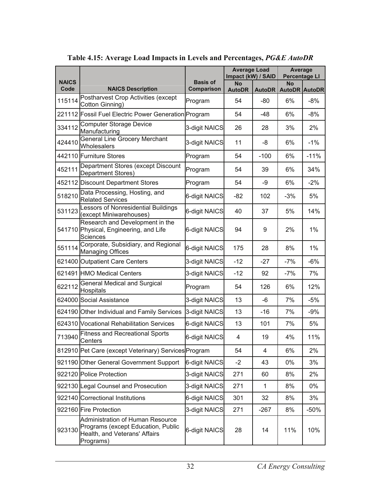|                      |                                                                                                                      |                                      | <b>Average Load</b><br>Impact (kW) / SAID |               | Average<br><b>Percentage LI</b> |        |
|----------------------|----------------------------------------------------------------------------------------------------------------------|--------------------------------------|-------------------------------------------|---------------|---------------------------------|--------|
| <b>NAICS</b><br>Code | <b>NAICS Description</b>                                                                                             | <b>Basis of</b><br><b>Comparison</b> | <b>No</b><br><b>AutoDR</b>                | <b>AutoDR</b> | No<br><b>AutoDR AutoDR</b>      |        |
| 115114               | Postharvest Crop Activities (except<br>Cotton Ginning)                                                               | Program                              | 54                                        | -80           | 6%                              | $-8%$  |
|                      | 221112 Fossil Fuel Electric Power Generation Program                                                                 |                                      | 54                                        | $-48$         | 6%                              | $-8%$  |
| 334112               | <b>Computer Storage Device</b><br>Manufacturing                                                                      | 3-digit NAICS                        | 26                                        | 28            | 3%                              | 2%     |
| 424410               | <b>General Line Grocery Merchant</b><br>Wholesalers                                                                  | 3-digit NAICS                        | 11                                        | -8            | 6%                              | $-1%$  |
|                      | 442110 Furniture Stores                                                                                              | Program                              | 54                                        | $-100$        | 6%                              | $-11%$ |
| 452111               | Department Stores (except Discount<br>Department Stores)                                                             | Program                              | 54                                        | 39            | 6%                              | 34%    |
|                      | 452112 Discount Department Stores                                                                                    | Program                              | 54                                        | -9            | 6%                              | $-2%$  |
| 518210               | Data Processing, Hosting, and<br><b>Related Services</b>                                                             | 6-digit NAICS                        | -82                                       | 102           | $-3%$                           | 5%     |
| 531123               | Lessors of Nonresidential Buildings<br>(except Miniwarehouses)                                                       | 6-digit NAICS                        | 40                                        | 37            | 5%                              | 14%    |
|                      | Research and Development in the<br>541710 Physical, Engineering, and Life<br><b>Sciences</b>                         | 6-digit NAICS                        | 94                                        | 9             | 2%                              | 1%     |
| 551114               | Corporate, Subsidiary, and Regional<br><b>Managing Offices</b>                                                       | 6-digit NAICS                        | 175                                       | 28            | 8%                              | 1%     |
|                      | 621400 Outpatient Care Centers                                                                                       | 3-digit NAICS                        | $-12$                                     | $-27$         | $-7%$                           | $-6%$  |
|                      | 621491 HMO Medical Centers                                                                                           | 3-digit NAICS                        | $-12$                                     | 92            | $-7%$                           | 7%     |
| 622112               | <b>General Medical and Surgical</b><br>Hospitals                                                                     | Program                              | 54                                        | 126           | 6%                              | 12%    |
|                      | 624000 Social Assistance                                                                                             | 3-digit NAICS                        | 13                                        | -6            | 7%                              | $-5%$  |
|                      | 624190 Other Individual and Family Services                                                                          | 3-digit NAICS                        | 13                                        | $-16$         | 7%                              | $-9%$  |
|                      | 624310 Vocational Rehabilitation Services                                                                            | 6-digit NAICS                        | 13                                        | 101           | 7%                              | 5%     |
| 713940               | <b>Fitness and Recreational Sports</b><br>Centers                                                                    | 6-digit NAICS                        | 4                                         | 19            | 4%                              | 11%    |
|                      | 812910 Pet Care (except Veterinary) Services Program                                                                 |                                      | 54                                        | 4             | 6%                              | 2%     |
|                      | 921190 Other General Government Support                                                                              | 6-digit NAICS                        | $-2$                                      | 43            | 0%                              | 3%     |
|                      | 922120 Police Protection                                                                                             | 3-digit NAICS                        | 271                                       | 60            | 8%                              | 2%     |
|                      | 922130 Legal Counsel and Prosecution                                                                                 | 3-digit NAICS                        | 271                                       | 1             | 8%                              | 0%     |
|                      | 922140 Correctional Institutions                                                                                     | 6-digit NAICS                        | 301                                       | 32            | 8%                              | 3%     |
|                      | 922160 Fire Protection                                                                                               | 3-digit NAICS                        | 271                                       | $-267$        | 8%                              | $-50%$ |
| 923130               | Administration of Human Resource<br>Programs (except Education, Public<br>Health, and Veterans' Affairs<br>Programs) | 6-digit NAICS                        | 28                                        | 14            | 11%                             | 10%    |

## **Table 4.15: Average Load Impacts in Levels and Percentages,** *PG&E AutoDR*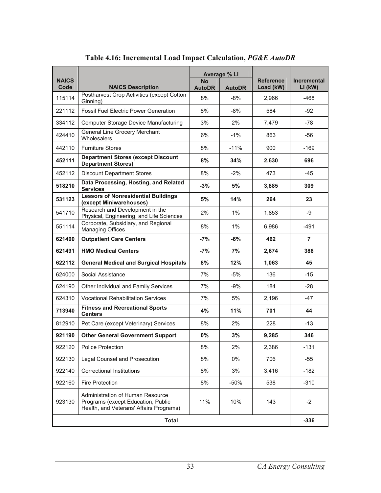| <b>NAICS</b> |                                                                                                                   |                            | Average % Ll  | <b>Reference</b> | <b>Incremental</b> |  |
|--------------|-------------------------------------------------------------------------------------------------------------------|----------------------------|---------------|------------------|--------------------|--|
| Code         | <b>NAICS Description</b>                                                                                          | <b>No</b><br><b>AutoDR</b> | <b>AutoDR</b> | Load (kW)        | $LI$ (kW)          |  |
| 115114       | Postharvest Crop Activities (except Cotton<br>Ginning)                                                            | 8%                         | -8%           | 2,966            | -468               |  |
| 221112       | <b>Fossil Fuel Flectric Power Generation</b>                                                                      | 8%                         | $-8%$         | 584              | $-92$              |  |
| 334112       | <b>Computer Storage Device Manufacturing</b>                                                                      | 3%                         | 2%            | 7,479            | -78                |  |
| 424410       | General Line Grocery Merchant<br>Wholesalers                                                                      | 6%                         | $-1%$         | 863              | -56                |  |
| 442110       | <b>Furniture Stores</b>                                                                                           | 8%                         | $-11%$        | 900              | $-169$             |  |
| 452111       | <b>Department Stores (except Discount</b><br><b>Department Stores)</b>                                            | 8%                         | 34%           | 2,630            | 696                |  |
| 452112       | <b>Discount Department Stores</b>                                                                                 | 8%                         | $-2%$         | 473              | -45                |  |
| 518210       | Data Processing, Hosting, and Related<br><b>Services</b>                                                          | $-3%$                      | 5%            | 3,885            | 309                |  |
| 531123       | <b>Lessors of Nonresidential Buildings</b><br>(except Miniwarehouses)                                             | 5%                         | 14%           | 264              | 23                 |  |
| 541710       | Research and Development in the<br>Physical, Engineering, and Life Sciences                                       | 2%                         | $1\%$         | 1,853            | -9                 |  |
| 551114       | Corporate, Subsidiary, and Regional<br><b>Managing Offices</b>                                                    | 8%                         | 1%            | 6,986            | $-491$             |  |
| 621400       | <b>Outpatient Care Centers</b>                                                                                    | $-7%$                      | $-6%$         | 462              | $\overline{7}$     |  |
| 621491       | <b>HMO Medical Centers</b>                                                                                        | $-7%$                      | 7%            | 2,674            | 386                |  |
| 622112       | <b>General Medical and Surgical Hospitals</b>                                                                     | 8%                         | 12%           | 1,063            | 45                 |  |
| 624000       | Social Assistance                                                                                                 | 7%                         | $-5%$         | 136              | $-15$              |  |
| 624190       | Other Individual and Family Services                                                                              | 7%                         | $-9%$         | 184              | $-28$              |  |
| 624310       | <b>Vocational Rehabilitation Services</b>                                                                         | 7%                         | 5%            | 2,196            | $-47$              |  |
| 713940       | <b>Fitness and Recreational Sports</b><br><b>Centers</b>                                                          | 4%                         | 11%           | 701              | 44                 |  |
| 812910       | Pet Care (except Veterinary) Services                                                                             | 8%                         | 2%            | 228              | $-13$              |  |
| 921190       | <b>Other General Government Support</b>                                                                           | 0%                         | 3%            | 9,285            | 346                |  |
| 922120       | <b>Police Protection</b>                                                                                          | 8%                         | 2%            | 2,386            | $-131$             |  |
| 922130       | Legal Counsel and Prosecution                                                                                     | 8%                         | 0%            | 706              | $-55$              |  |
| 922140       | <b>Correctional Institutions</b>                                                                                  | 8%                         | 3%            | 3,416            | $-182$             |  |
| 922160       | <b>Fire Protection</b>                                                                                            | 8%                         | $-50%$        | 538              | $-310$             |  |
| 923130       | Administration of Human Resource<br>Programs (except Education, Public<br>Health, and Veterans' Affairs Programs) | 11%                        | 10%           | 143              | $-2$               |  |
|              | <b>Total</b>                                                                                                      |                            |               |                  |                    |  |

## **Table 4.16: Incremental Load Impact Calculation,** *PG&E AutoDR*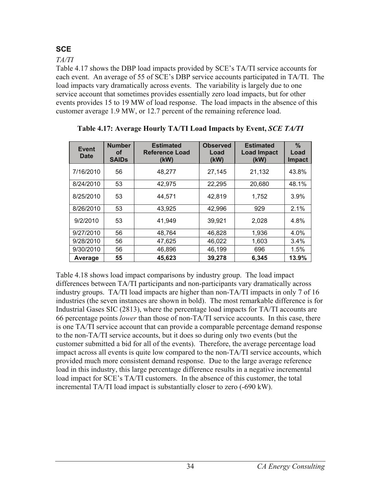# **SCE**

*TA/TI* 

Table 4.17 shows the DBP load impacts provided by SCE's TA/TI service accounts for each event. An average of 55 of SCE's DBP service accounts participated in TA/TI. The load impacts vary dramatically across events. The variability is largely due to one service account that sometimes provides essentially zero load impacts, but for other events provides 15 to 19 MW of load response. The load impacts in the absence of this customer average 1.9 MW, or 12.7 percent of the remaining reference load.

| Event<br><b>Date</b> | <b>Number</b><br>οf<br><b>SAIDs</b> | <b>Estimated</b><br><b>Reference Load</b><br>(kW) | <b>Observed</b><br>Load<br>(kW) | <b>Estimated</b><br><b>Load Impact</b><br>(kW) | $\%$<br>Load<br><b>Impact</b> |
|----------------------|-------------------------------------|---------------------------------------------------|---------------------------------|------------------------------------------------|-------------------------------|
| 7/16/2010            | 56                                  | 48,277                                            | 27,145                          | 21,132                                         | 43.8%                         |
| 8/24/2010            | 53                                  | 42,975                                            | 22,295                          | 20,680                                         | 48.1%                         |
| 8/25/2010            | 53                                  | 44.571                                            | 42,819                          | 1,752                                          | 3.9%                          |
| 8/26/2010            | 53                                  | 43,925                                            | 42,996                          | 929                                            | 2.1%                          |
| 9/2/2010             | 53                                  | 41,949                                            | 39,921                          | 2,028                                          | 4.8%                          |
| 9/27/2010            | 56                                  | 48.764                                            | 46,828                          | 1,936                                          | 4.0%                          |
| 9/28/2010            | 56                                  | 47,625                                            | 46,022                          | 1,603                                          | $3.4\%$                       |
| 9/30/2010            | 56                                  | 46,896                                            | 46,199                          | 696                                            | 1.5%                          |
| Average              | 55                                  | 45,623                                            | 39,278                          | 6.345                                          | 13.9%                         |

**Table 4.17: Average Hourly TA/TI Load Impacts by Event,** *SCE TA/TI*

Table 4.18 shows load impact comparisons by industry group. The load impact differences between TA/TI participants and non-participants vary dramatically across industry groups. TA/TI load impacts are higher than non-TA/TI impacts in only 7 of 16 industries (the seven instances are shown in bold). The most remarkable difference is for Industrial Gases SIC (2813), where the percentage load impacts for TA/TI accounts are 66 percentage points *lower* than those of non-TA/TI service accounts. In this case, there is one TA/TI service account that can provide a comparable percentage demand response to the non-TA/TI service accounts, but it does so during only two events (but the customer submitted a bid for all of the events). Therefore, the average percentage load impact across all events is quite low compared to the non-TA/TI service accounts, which provided much more consistent demand response. Due to the large average reference load in this industry, this large percentage difference results in a negative incremental load impact for SCE's TA/TI customers. In the absence of this customer, the total incremental TA/TI load impact is substantially closer to zero (-690 kW).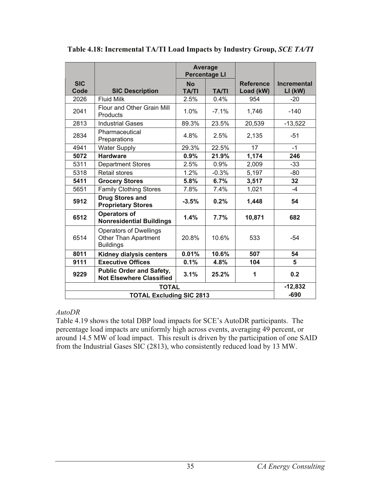|                    |                                                                                  | <b>Average</b><br><b>Percentage LI</b> |              |                               |                                 |
|--------------------|----------------------------------------------------------------------------------|----------------------------------------|--------------|-------------------------------|---------------------------------|
| <b>SIC</b><br>Code | <b>SIC Description</b>                                                           | <b>No</b><br><b>TA/TI</b>              | <b>TA/TI</b> | <b>Reference</b><br>Load (kW) | <b>Incremental</b><br>$LI$ (kW) |
| 2026               | <b>Fluid Milk</b>                                                                | 2.5%                                   | 0.4%         | 954                           | $-20$                           |
| 2041               | Flour and Other Grain Mill<br>Products                                           | 1.0%                                   | $-7.1\%$     | 1,746                         | $-140$                          |
| 2813               | <b>Industrial Gases</b>                                                          | 89.3%                                  | 23.5%        | 20,539                        | $-13,522$                       |
| 2834               | Pharmaceutical<br>Preparations                                                   | 4.8%                                   | 2.5%         | 2,135                         | -51                             |
| 4941               | <b>Water Supply</b>                                                              | 29.3%                                  | 22.5%        | 17                            | $-1$                            |
| 5072               | <b>Hardware</b>                                                                  | 0.9%                                   | 21.9%        | 1,174                         | 246                             |
| 5311               | <b>Department Stores</b>                                                         | 2.5%                                   | 0.9%         | 2,009                         | $-33$                           |
| 5318               | <b>Retail stores</b>                                                             | 1.2%                                   | $-0.3%$      | 5,197                         | $-80$                           |
| 5411               | <b>Grocery Stores</b>                                                            | 5.8%                                   | 6.7%         | 3,517                         | 32                              |
| 5651               | <b>Family Clothing Stores</b>                                                    | 7.8%                                   | 7.4%         | 1,021                         | $-4$                            |
| 5912               | <b>Drug Stores and</b><br><b>Proprietary Stores</b>                              | $-3.5%$                                | 0.2%         | 1,448                         | 54                              |
| 6512               | <b>Operators of</b><br><b>Nonresidential Buildings</b>                           | 1.4%                                   | 7.7%         | 10,871                        | 682                             |
| 6514               | <b>Operators of Dwellings</b><br><b>Other Than Apartment</b><br><b>Buildings</b> | 20.8%                                  | 10.6%        | 533                           | $-54$                           |
| 8011               | <b>Kidney dialysis centers</b>                                                   | 0.01%                                  | 10.6%        | 507                           | 54                              |
| 9111               | <b>Executive Offices</b>                                                         | 0.1%                                   | 4.8%         | 104                           | 5                               |
| 9229               | <b>Public Order and Safety,</b><br><b>Not Elsewhere Classified</b>               | 3.1%                                   | 25.2%        | 1                             | 0.2                             |
|                    | <b>TOTAL</b>                                                                     |                                        |              |                               | $-12,832$                       |
|                    | <b>TOTAL Excluding SIC 2813</b>                                                  |                                        |              |                               | $-690$                          |

**Table 4.18: Incremental TA/TI Load Impacts by Industry Group,** *SCE TA/TI*

#### *AutoDR*

Table 4.19 shows the total DBP load impacts for SCE's AutoDR participants. The percentage load impacts are uniformly high across events, averaging 49 percent, or around 14.5 MW of load impact. This result is driven by the participation of one SAID from the Industrial Gases SIC (2813), who consistently reduced load by 13 MW.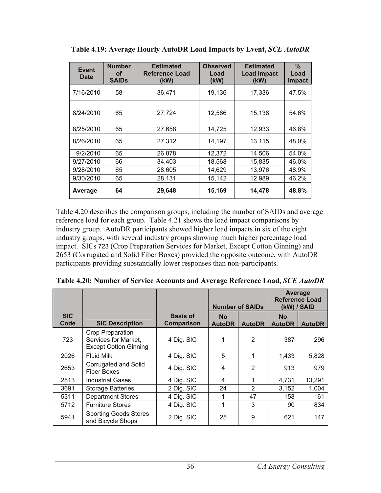| <b>Event</b><br><b>Date</b> | <b>Number</b><br>οf<br><b>SAIDs</b> | <b>Estimated</b><br><b>Reference Load</b><br>(kW) | <b>Observed</b><br>Load<br>(kW) | <b>Estimated</b><br><b>Load Impact</b><br>(kW) | $\%$<br>Load<br><b>Impact</b> |
|-----------------------------|-------------------------------------|---------------------------------------------------|---------------------------------|------------------------------------------------|-------------------------------|
| 7/16/2010                   | 58                                  | 36,471                                            | 19,136                          | 17,336                                         | 47.5%                         |
| 8/24/2010                   | 65                                  | 27,724                                            | 12,586                          | 15,138                                         | 54.6%                         |
| 8/25/2010                   | 65                                  | 27,658                                            | 14,725                          | 12,933                                         | 46.8%                         |
| 8/26/2010                   | 65                                  | 27,312                                            | 14,197                          | 13,115                                         | 48.0%                         |
| 9/2/2010                    | 65                                  | 26,878                                            | 12,372                          | 14,506                                         | 54.0%                         |
| 9/27/2010                   | 66                                  | 34,403                                            | 18,568                          | 15,835                                         | 46.0%                         |
| 9/28/2010                   | 65                                  | 28,605                                            | 14,629                          | 13,976                                         | 48.9%                         |
| 9/30/2010                   | 65                                  | 28,131                                            | 15,142                          | 12,989                                         | 46.2%                         |
| Average                     | 64                                  | 29,648                                            | 15,169                          | 14,478                                         | 48.8%                         |

**Table 4.19: Average Hourly AutoDR Load Impacts by Event,** *SCE AutoDR*

Table 4.20 describes the comparison groups, including the number of SAIDs and average reference load for each group. Table 4.21 shows the load impact comparisons by industry group. AutoDR participants showed higher load impacts in six of the eight industry groups, with several industry groups showing much higher percentage load impact. SICs 723 (Crop Preparation Services for Market, Except Cotton Ginning) and 2653 (Corrugated and Solid Fiber Boxes) provided the opposite outcome, with AutoDR participants providing substantially lower responses than non-participants.

|                    |                                                                                 |                                      | <b>Number of SAIDs</b>     |                | Average<br><b>Reference Load</b><br>(kW) / SAID |               |
|--------------------|---------------------------------------------------------------------------------|--------------------------------------|----------------------------|----------------|-------------------------------------------------|---------------|
| <b>SIC</b><br>Code | <b>SIC Description</b>                                                          | <b>Basis of</b><br><b>Comparison</b> | <b>No</b><br><b>AutoDR</b> | <b>AutoDR</b>  | <b>No</b><br><b>AutoDR</b>                      | <b>AutoDR</b> |
| 723                | <b>Crop Preparation</b><br>Services for Market,<br><b>Except Cotton Ginning</b> | 4 Dig. SIC                           | 1                          | $\overline{2}$ | 387                                             | 296           |
| 2026               | <b>Fluid Milk</b>                                                               | 4 Dig. SIC                           | 5                          | 1              | 1,433                                           | 5,828         |
| 2653               | Corrugated and Solid<br><b>Fiber Boxes</b>                                      | 4 Dig. SIC                           | 4                          | 2              | 913                                             | 979           |
| 2813               | <b>Industrial Gases</b>                                                         | 4 Dig. SIC                           | 4                          | 1              | 4,731                                           | 13,291        |
| 3691               | <b>Storage Batteries</b>                                                        | 2 Dig. SIC                           | 24                         | 2              | 3,152                                           | 1,004         |
| 5311               | <b>Department Stores</b>                                                        | 4 Dig. SIC                           | 1                          | 47             | 158                                             | 161           |
| 5712               | <b>Furniture Stores</b>                                                         | 4 Dig. SIC                           | 1                          | 3              | 90                                              | 834           |
| 5941               | <b>Sporting Goods Stores</b><br>and Bicycle Shops                               | 2 Dig. SIC                           | 25                         | 9              | 621                                             | 147           |

**Table 4.20: Number of Service Accounts and Average Reference Load,** *SCE AutoDR*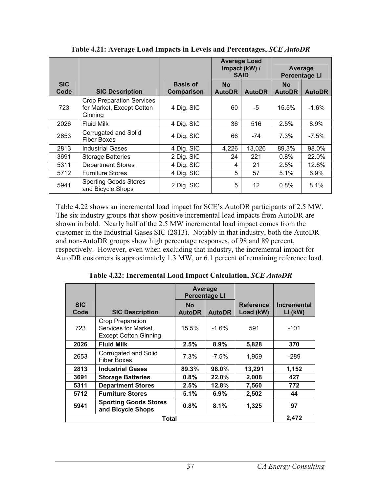|                    |                                                                          |                               | <b>Average Load</b><br>Impact (kW) /<br><b>SAID</b> |               | Average<br><b>Percentage LI</b> |               |
|--------------------|--------------------------------------------------------------------------|-------------------------------|-----------------------------------------------------|---------------|---------------------------------|---------------|
| <b>SIC</b><br>Code | <b>SIC Description</b>                                                   | <b>Basis of</b><br>Comparison | <b>No</b><br><b>AutoDR</b>                          | <b>AutoDR</b> | <b>No</b><br><b>AutoDR</b>      | <b>AutoDR</b> |
| 723                | <b>Crop Preparation Services</b><br>for Market, Except Cotton<br>Ginning | 4 Dig. SIC                    | 60                                                  | -5            | 15.5%                           | $-1.6%$       |
| 2026               | <b>Fluid Milk</b>                                                        | 4 Dig. SIC                    | 36                                                  | 516           | 2.5%                            | 8.9%          |
| 2653               | Corrugated and Solid<br><b>Fiber Boxes</b>                               | 4 Dig. SIC                    | 66                                                  | -74           | $7.3\%$                         | $-7.5\%$      |
| 2813               | <b>Industrial Gases</b>                                                  | 4 Dig. SIC                    | 4,226                                               | 13,026        | 89.3%                           | 98.0%         |
| 3691               | <b>Storage Batteries</b>                                                 | 2 Dig. SIC                    | 24                                                  | 221           | 0.8%                            | 22.0%         |
| 5311               | <b>Department Stores</b>                                                 | 4 Dig. SIC                    | 4                                                   | 21            | 2.5%                            | 12.8%         |
| 5712               | <b>Furniture Stores</b>                                                  | 4 Dig. SIC                    | 5                                                   | 57            | 5.1%                            | 6.9%          |
| 5941               | <b>Sporting Goods Stores</b><br>and Bicycle Shops                        | 2 Dig. SIC                    | 5                                                   | 12            | 0.8%                            | 8.1%          |

**Table 4.21: Average Load Impacts in Levels and Percentages,** *SCE AutoDR* 

Table 4.22 shows an incremental load impact for SCE's AutoDR participants of 2.5 MW. The six industry groups that show positive incremental load impacts from AutoDR are shown in bold. Nearly half of the 2.5 MW incremental load impact comes from the customer in the Industrial Gases SIC (2813). Notably in that industry, both the AutoDR and non-AutoDR groups show high percentage responses, of 98 and 89 percent, respectively. However, even when excluding that industry, the incremental impact for AutoDR customers is approximately 1.3 MW, or 6.1 percent of remaining reference load.

**Table 4.22: Incremental Load Impact Calculation,** *SCE AutoDR* 

|                    |                                                                          | Average<br><b>Percentage LI</b> |               |                               |                                 |  |
|--------------------|--------------------------------------------------------------------------|---------------------------------|---------------|-------------------------------|---------------------------------|--|
| <b>SIC</b><br>Code | <b>SIC Description</b>                                                   | <b>No</b><br><b>AutoDR</b>      | <b>AutoDR</b> | <b>Reference</b><br>Load (kW) | <b>Incremental</b><br>$LI$ (kW) |  |
| 723                | Crop Preparation<br>Services for Market,<br><b>Except Cotton Ginning</b> | $15.5\%$                        | -1.6%         | 591                           | $-101$                          |  |
| 2026               | <b>Fluid Milk</b>                                                        | 2.5%                            | 8.9%          | 5,828                         | 370                             |  |
| 2653               | Corrugated and Solid<br><b>Fiber Boxes</b>                               | 7.3%                            | $-7.5\%$      | 1,959                         | -289                            |  |
| 2813               | <b>Industrial Gases</b>                                                  | 89.3%                           | 98.0%         | 13,291                        | 1,152                           |  |
| 3691               | <b>Storage Batteries</b>                                                 | 0.8%                            | 22.0%         | 2,008                         | 427                             |  |
| 5311               | <b>Department Stores</b>                                                 | $2.5\%$                         | 12.8%         | 7,560                         | 772                             |  |
| 5712               | <b>Furniture Stores</b>                                                  | 5.1%                            | 6.9%          | 2,502                         | 44                              |  |
| 5941               | <b>Sporting Goods Stores</b><br>and Bicycle Shops                        | $0.8\%$                         | 8.1%          | 1,325                         | 97                              |  |
|                    | <b>Total</b>                                                             |                                 |               |                               |                                 |  |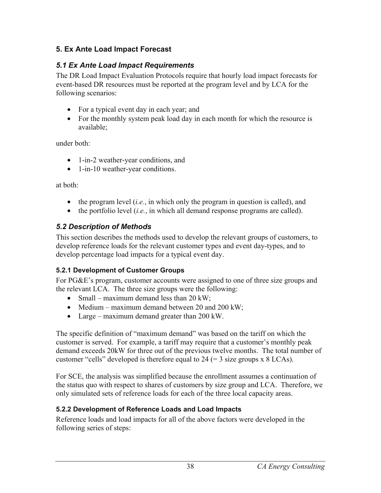## **5. Ex Ante Load Impact Forecast**

# *5.1 Ex Ante Load Impact Requirements*

The DR Load Impact Evaluation Protocols require that hourly load impact forecasts for event-based DR resources must be reported at the program level and by LCA for the following scenarios:

- For a typical event day in each year; and
- For the monthly system peak load day in each month for which the resource is available;

under both:

- 1-in-2 weather-year conditions, and
- 1-in-10 weather-year conditions.

at both:

- the program level (*i.e.*, in which only the program in question is called), and
- the portfolio level (*i.e.*, in which all demand response programs are called).

## *5.2 Description of Methods*

This section describes the methods used to develop the relevant groups of customers, to develop reference loads for the relevant customer types and event day-types, and to develop percentage load impacts for a typical event day.

## **5.2.1 Development of Customer Groups**

For PG&E's program, customer accounts were assigned to one of three size groups and the relevant LCA. The three size groups were the following:

- Small maximum demand less than  $20 \text{ kW}$ ;
- Medium maximum demand between 20 and 200 kW;
- Large maximum demand greater than 200 kW.

The specific definition of "maximum demand" was based on the tariff on which the customer is served. For example, a tariff may require that a customer's monthly peak demand exceeds 20kW for three out of the previous twelve months. The total number of customer "cells" developed is therefore equal to  $24$  (= 3 size groups x 8 LCAs).

For SCE, the analysis was simplified because the enrollment assumes a continuation of the status quo with respect to shares of customers by size group and LCA. Therefore, we only simulated sets of reference loads for each of the three local capacity areas.

# **5.2.2 Development of Reference Loads and Load Impacts**

Reference loads and load impacts for all of the above factors were developed in the following series of steps: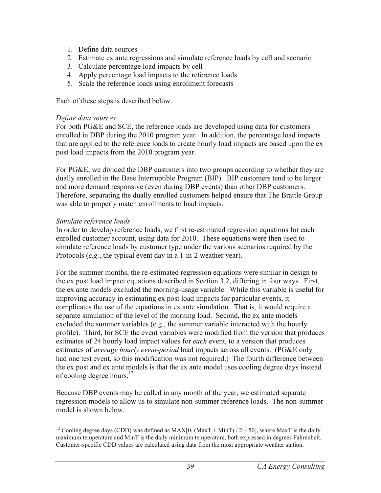- 1. Define data sources
- 2. Estimate ex ante regressions and simulate reference loads by cell and scenario
- 3. Calculate percentage load impacts by cell
- 4. Apply percentage load impacts to the reference loads
- 5. Scale the reference loads using enrollment forecasts

Each of these steps is described below.

#### *Define data sources*

For both PG&E and SCE, the reference loads are developed using data for customers enrolled in DBP during the 2010 program year. In addition, the percentage load impacts that are applied to the reference loads to create hourly load impacts are based upon the ex post load impacts from the 2010 program year.

For PG&E, we divided the DBP customers into two groups according to whether they are dually enrolled in the Base Interruptible Program (BIP). BIP customers tend to be larger and more demand responsive (even during DBP events) than other DBP customers. Therefore, separating the dually enrolled customers helped ensure that The Brattle Group was able to properly match enrollments to load impacts.

#### *Simulate reference loads*

In order to develop reference loads, we first re-estimated regression equations for each enrolled customer account, using data for 2010. These equations were then used to simulate reference loads by customer type under the various scenarios required by the Protocols (*e.g.*, the typical event day in a 1-in-2 weather year).

For the summer months, the re-estimated regression equations were similar in design to the ex post load impact equations described in Section 3.2, differing in four ways. First, the ex ante models excluded the morning-usage variable. While this variable is useful for improving accuracy in estimating ex post load impacts for particular events, it complicates the use of the equations in ex ante simulation. That is, it would require a separate simulation of the level of the morning load. Second, the ex ante models excluded the summer variables (e.g., the summer variable interacted with the hourly profile). Third, for SCE the event variables were modified from the version that produces estimates of 24 hourly load impact values for *each* event, to a version that produces estimates of *average hourly event-period* load impacts across all events. (PG&E only had one test event, so this modification was not required.) The fourth difference between the ex post and ex ante models is that the ex ante model uses cooling degree days instead of cooling degree hours.<sup>12</sup>

Because DBP events may be called in any month of the year, we estimated separate regression models to allow us to simulate non-summer reference loads. The non-summer model is shown below.

 $\overline{a}$ <sup>12</sup> Cooling degree days (CDD) was defined as MAX[0, (MaxT + MinT)  $/2 - 50$ ], where MaxT is the daily maximum temperature and MinT is the daily minimum temperature, both expressed in degrees Fahrenheit. Customer-specific CDD values are calculated using data from the most appropriate weather station.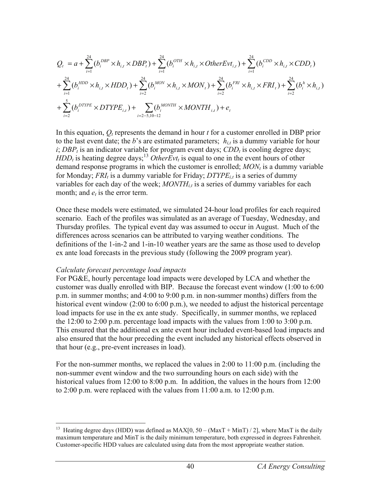$$
Q_{t} = a + \sum_{i=1}^{24} (b_{i}^{DBP} \times h_{i,t} \times DBP_{t}) + \sum_{i=1}^{24} (b_{i}^{OTH} \times h_{i,t} \times OtherEvt_{i,t}) + \sum_{i=1}^{24} (b_{i}^{CDD} \times h_{i,t} \times CDD_{t})
$$
  
+ 
$$
\sum_{i=1}^{24} (b_{i}^{HDD} \times h_{i,t} \times HDD_{t}) + \sum_{i=2}^{24} (b_{i}^{MON} \times h_{i,t} \times MON_{t}) + \sum_{i=2}^{24} (b_{i}^{FRI} \times h_{i,t} \times FRI_{t}) + \sum_{i=2}^{24} (b_{i}^{h} \times h_{i,t})
$$
  
+ 
$$
\sum_{i=2}^{5} (b_{i}^{DTYPE} \times DTYPE_{i,t}) + \sum_{i=2-5,10-12} (b_{i}^{MONTH} \times MONTH_{i,t}) + e_{t}
$$

In this equation,  $O_t$  represents the demand in hour  $t$  for a customer enrolled in DBP prior to the last event date; the *b*'s are estimated parameters;  $h_{i,t}$  is a dummy variable for hour *i*; *DBP<sub>t</sub>* is an indicator variable for program event days; *CDD<sub>t</sub>* is cooling degree days;  $HDD<sub>t</sub>$  is heating degree days;<sup>13</sup> *OtherEvt<sub>t</sub>* is equal to one in the event hours of other demand response programs in which the customer is enrolled;  $MON_t$  is a dummy variable for Monday;  $FRI<sub>t</sub>$  is a dummy variable for Friday;  $DTYPE<sub>i,t</sub>$  is a series of dummy variables for each day of the week;  $MONTH<sub>i,t</sub>$  is a series of dummy variables for each month; and  $e_t$  is the error term.

Once these models were estimated, we simulated 24-hour load profiles for each required scenario. Each of the profiles was simulated as an average of Tuesday, Wednesday, and Thursday profiles. The typical event day was assumed to occur in August. Much of the differences across scenarios can be attributed to varying weather conditions. The definitions of the 1-in-2 and 1-in-10 weather years are the same as those used to develop ex ante load forecasts in the previous study (following the 2009 program year).

#### *Calculate forecast percentage load impacts*

1

For PG&E, hourly percentage load impacts were developed by LCA and whether the customer was dually enrolled with BIP. Because the forecast event window (1:00 to 6:00 p.m. in summer months; and 4:00 to 9:00 p.m. in non-summer months) differs from the historical event window (2:00 to 6:00 p.m.), we needed to adjust the historical percentage load impacts for use in the ex ante study. Specifically, in summer months, we replaced the 12:00 to 2:00 p.m. percentage load impacts with the values from 1:00 to 3:00 p.m. This ensured that the additional ex ante event hour included event-based load impacts and also ensured that the hour preceding the event included any historical effects observed in that hour (e.g., pre-event increases in load).

For the non-summer months, we replaced the values in 2:00 to 11:00 p.m. (including the non-summer event window and the two surrounding hours on each side) with the historical values from 12:00 to 8:00 p.m. In addition, the values in the hours from 12:00 to 2:00 p.m. were replaced with the values from 11:00 a.m. to 12:00 p.m.

<sup>&</sup>lt;sup>13</sup> Heating degree days (HDD) was defined as  $MAX[0, 50 - (MaxT + MinT)/2]$ , where MaxT is the daily maximum temperature and MinT is the daily minimum temperature, both expressed in degrees Fahrenheit. Customer-specific HDD values are calculated using data from the most appropriate weather station.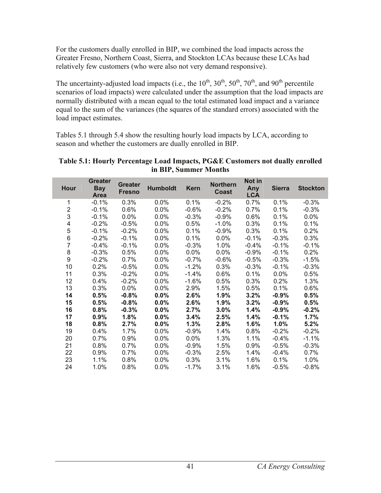For the customers dually enrolled in BIP, we combined the load impacts across the Greater Fresno, Northern Coast, Sierra, and Stockton LCAs because these LCAs had relatively few customers (who were also not very demand responsive).

The uncertainty-adjusted load impacts (i.e., the  $10^{th}$ ,  $30^{th}$ ,  $50^{th}$ ,  $70^{th}$ , and  $90^{th}$  percentile scenarios of load impacts) were calculated under the assumption that the load impacts are normally distributed with a mean equal to the total estimated load impact and a variance equal to the sum of the variances (the squares of the standard errors) associated with the load impact estimates.

Tables 5.1 through 5.4 show the resulting hourly load impacts by LCA, according to season and whether the customers are dually enrolled in BIP.

| <b>Hour</b>    | <b>Greater</b><br><b>Bay</b><br><b>Area</b> | <b>Greater</b><br><b>Fresno</b> | <b>Humboldt</b> | <b>Kern</b> | <b>Northern</b><br><b>Coast</b> | Not in<br>Any<br><b>LCA</b> | <b>Sierra</b> | <b>Stockton</b> |
|----------------|---------------------------------------------|---------------------------------|-----------------|-------------|---------------------------------|-----------------------------|---------------|-----------------|
| 1              | $-0.1%$                                     | 0.3%                            | $0.0\%$         | 0.1%        | $-0.2%$                         | 0.7%                        | 0.1%          | $-0.3%$         |
| $\overline{2}$ | $-0.1%$                                     | 0.6%                            | 0.0%            | $-0.6%$     | $-0.2%$                         | 0.7%                        | 0.1%          | $-0.3%$         |
| 3              | $-0.1%$                                     | 0.0%                            | $0.0\%$         | $-0.3%$     | $-0.9%$                         | 0.6%                        | 0.1%          | $0.0\%$         |
| 4              | $-0.2%$                                     | $-0.5%$                         | 0.0%            | 0.5%        | $-1.0%$                         | 0.3%                        | 0.1%          | 0.1%            |
| 5              | $-0.1%$                                     | $-0.2%$                         | 0.0%            | 0.1%        | $-0.9\%$                        | 0.3%                        | 0.1%          | 0.2%            |
| 6              | $-0.2%$                                     | $-0.1%$                         | $0.0\%$         | 0.1%        | $0.0\%$                         | $-0.1%$                     | $-0.3%$       | 0.3%            |
| $\overline{7}$ | $-0.4%$                                     | $-0.1%$                         | 0.0%            | $-0.3%$     | 1.0%                            | $-0.4%$                     | $-0.1%$       | $-0.1%$         |
| 8              | $-0.3%$                                     | 0.5%                            | $0.0\%$         | $0.0\%$     | 0.0%                            | $-0.9%$                     | $-0.1%$       | 0.2%            |
| 9              | $-0.2%$                                     | 0.7%                            | $0.0\%$         | $-0.7%$     | $-0.6%$                         | $-0.5%$                     | $-0.3%$       | $-1.5%$         |
| 10             | 0.2%                                        | $-0.5%$                         | 0.0%            | $-1.2%$     | 0.3%                            | $-0.3%$                     | $-0.1%$       | $-0.3%$         |
| 11             | 0.3%                                        | $-0.2%$                         | $0.0\%$         | $-1.4%$     | 0.6%                            | 0.1%                        | $0.0\%$       | 0.5%            |
| 12             | 0.4%                                        | $-0.2%$                         | 0.0%            | $-1.6%$     | 0.5%                            | 0.3%                        | 0.2%          | 1.3%            |
| 13             | 0.3%                                        | 0.0%                            | 0.0%            | 2.9%        | 1.5%                            | 0.5%                        | 0.1%          | 0.6%            |
| 14             | 0.5%                                        | $-0.8%$                         | $0.0\%$         | 2.6%        | 1.9%                            | 3.2%                        | $-0.9%$       | 0.5%            |
| 15             | 0.5%                                        | $-0.8%$                         | 0.0%            | 2.6%        | 1.9%                            | 3.2%                        | $-0.9%$       | 0.5%            |
| 16             | 0.8%                                        | $-0.3%$                         | 0.0%            | 2.7%        | 3.0%                            | 1.4%                        | $-0.9%$       | $-0.2%$         |
| 17             | 0.9%                                        | 1.8%                            | 0.0%            | 3.4%        | 2.5%                            | 1.4%                        | $-0.1%$       | 1.7%            |
| 18             | 0.8%                                        | 2.7%                            | $0.0\%$         | 1.3%        | 2.8%                            | 1.6%                        | 1.0%          | 5.2%            |
| 19             | 0.4%                                        | 1.7%                            | $0.0\%$         | $-0.9%$     | 1.4%                            | 0.8%                        | $-0.2%$       | $-0.2%$         |
| 20             | 0.7%                                        | 0.9%                            | $0.0\%$         | 0.0%        | 1.3%                            | 1.1%                        | $-0.4%$       | $-1.1%$         |
| 21             | $0.8\%$                                     | 0.7%                            | $0.0\%$         | $-0.9%$     | 1.5%                            | $0.9\%$                     | $-0.5%$       | $-0.3%$         |
| 22             | 0.9%                                        | 0.7%                            | $0.0\%$         | $-0.3%$     | 2.5%                            | 1.4%                        | $-0.4%$       | $0.7\%$         |
| 23             | 1.1%                                        | 0.8%                            | $0.0\%$         | 0.3%        | 3.1%                            | 1.6%                        | 0.1%          | 1.0%            |
| 24             | 1.0%                                        | 0.8%                            | 0.0%            | $-1.7%$     | 3.1%                            | 1.6%                        | $-0.5%$       | $-0.8%$         |

#### **Table 5.1: Hourly Percentage Load Impacts, PG&E Customers not dually enrolled in BIP, Summer Months**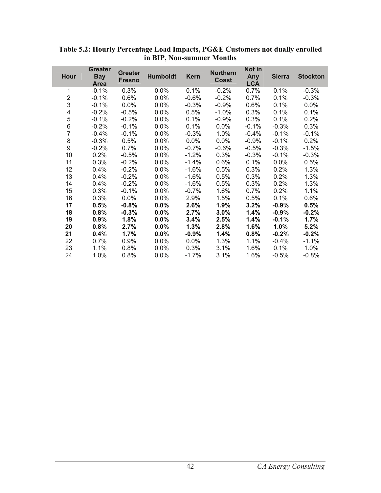| Hour                    | <b>Greater</b><br><b>Bay</b><br><b>Area</b> | <b>Greater</b><br><b>Fresno</b> | <b>Humboldt</b> | <b>Kern</b> | <b>Northern</b><br><b>Coast</b> | Not in<br>Any<br><b>LCA</b> | <b>Sierra</b> | <b>Stockton</b> |
|-------------------------|---------------------------------------------|---------------------------------|-----------------|-------------|---------------------------------|-----------------------------|---------------|-----------------|
| 1                       | $-0.1%$                                     | 0.3%                            | 0.0%            | 0.1%        | $-0.2%$                         | 0.7%                        | 0.1%          | $-0.3%$         |
| $\overline{\mathbf{c}}$ | $-0.1%$                                     | $0.6\%$                         | $0.0\%$         | $-0.6%$     | $-0.2%$                         | 0.7%                        | 0.1%          | $-0.3%$         |
| 3                       | $-0.1%$                                     | 0.0%                            | 0.0%            | $-0.3%$     | $-0.9%$                         | 0.6%                        | 0.1%          | $0.0\%$         |
| 4                       | $-0.2%$                                     | $-0.5%$                         | $0.0\%$         | 0.5%        | $-1.0%$                         | 0.3%                        | 0.1%          | 0.1%            |
| 5                       | $-0.1%$                                     | $-0.2%$                         | $0.0\%$         | 0.1%        | $-0.9%$                         | 0.3%                        | 0.1%          | 0.2%            |
| 6                       | $-0.2%$                                     | $-0.1%$                         | $0.0\%$         | 0.1%        | $0.0\%$                         | $-0.1%$                     | $-0.3%$       | 0.3%            |
| $\overline{7}$          | $-0.4%$                                     | $-0.1%$                         | 0.0%            | $-0.3%$     | 1.0%                            | $-0.4%$                     | $-0.1%$       | $-0.1%$         |
| 8                       | $-0.3%$                                     | 0.5%                            | 0.0%            | 0.0%        | 0.0%                            | $-0.9%$                     | $-0.1%$       | 0.2%            |
| 9                       | $-0.2%$                                     | 0.7%                            | 0.0%            | $-0.7%$     | $-0.6%$                         | $-0.5%$                     | $-0.3%$       | $-1.5%$         |
| 10                      | 0.2%                                        | $-0.5%$                         | $0.0\%$         | $-1.2%$     | 0.3%                            | $-0.3%$                     | $-0.1%$       | $-0.3\%$        |
| 11                      | 0.3%                                        | $-0.2%$                         | $0.0\%$         | $-1.4%$     | 0.6%                            | 0.1%                        | 0.0%          | 0.5%            |
| 12                      | 0.4%                                        | $-0.2%$                         | 0.0%            | $-1.6%$     | 0.5%                            | 0.3%                        | 0.2%          | 1.3%            |
| 13                      | 0.4%                                        | $-0.2%$                         | $0.0\%$         | $-1.6%$     | 0.5%                            | 0.3%                        | 0.2%          | 1.3%            |
| 14                      | 0.4%                                        | $-0.2%$                         | $0.0\%$         | $-1.6%$     | 0.5%                            | 0.3%                        | 0.2%          | 1.3%            |
| 15                      | 0.3%                                        | $-0.1%$                         | $0.0\%$         | $-0.7%$     | 1.6%                            | 0.7%                        | 0.2%          | 1.1%            |
| 16                      | 0.3%                                        | 0.0%                            | 0.0%            | 2.9%        | 1.5%                            | 0.5%                        | 0.1%          | 0.6%            |
| 17                      | 0.5%                                        | $-0.8%$                         | 0.0%            | 2.6%        | 1.9%                            | 3.2%                        | $-0.9%$       | 0.5%            |
| 18                      | 0.8%                                        | $-0.3%$                         | 0.0%            | 2.7%        | 3.0%                            | 1.4%                        | $-0.9%$       | $-0.2%$         |
| 19                      | 0.9%                                        | 1.8%                            | 0.0%            | 3.4%        | 2.5%                            | 1.4%                        | $-0.1%$       | 1.7%            |
| 20                      | 0.8%                                        | 2.7%                            | 0.0%            | 1.3%        | 2.8%                            | 1.6%                        | 1.0%          | 5.2%            |
| 21                      | 0.4%                                        | 1.7%                            | $0.0\%$         | $-0.9%$     | 1.4%                            | 0.8%                        | $-0.2%$       | $-0.2%$         |
| 22                      | 0.7%                                        | 0.9%                            | $0.0\%$         | $0.0\%$     | 1.3%                            | 1.1%                        | -0.4%         | $-1.1%$         |
| 23                      | 1.1%                                        | 0.8%                            | $0.0\%$         | 0.3%        | 3.1%                            | 1.6%                        | 0.1%          | 1.0%            |
| 24                      | 1.0%                                        | 0.8%                            | 0.0%            | $-1.7%$     | 3.1%                            | 1.6%                        | $-0.5%$       | $-0.8%$         |

**Table 5.2: Hourly Percentage Load Impacts, PG&E Customers not dually enrolled in BIP, Non-summer Months** 

l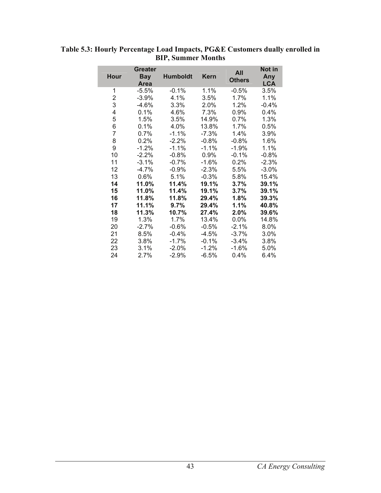| <b>Hour</b>             | <b>Greater</b><br><b>Bay</b><br><b>Area</b> | <b>Humboldt</b> | <b>Kern</b> | All<br><b>Others</b> | Not in<br>Any<br><b>LCA</b> |
|-------------------------|---------------------------------------------|-----------------|-------------|----------------------|-----------------------------|
| 1                       | $-5.5%$                                     | $-0.1%$         | 1.1%        | $-0.5%$              | 3.5%                        |
| $\overline{\mathbf{c}}$ | $-3.9%$                                     | 4.1%            | 3.5%        | 1.7%                 | 1.1%                        |
| 3                       | $-4.6%$                                     | $3.3\%$         | 2.0%        | 1.2%                 | $-0.4%$                     |
| 4                       | 0.1%                                        | 4.6%            | 7.3%        | 0.9%                 | 0.4%                        |
| 5                       | 1.5%                                        | 3.5%            | 14.9%       | 0.7%                 | 1.3%                        |
| 6                       | 0.1%                                        | 4.0%            | 13.8%       | 1.7%                 | 0.5%                        |
| $\overline{7}$          | 0.7%                                        | $-1.1%$         | $-7.3%$     | 1.4%                 | 3.9%                        |
| 8                       | 0.2%                                        | $-2.2%$         | $-0.8%$     | $-0.8%$              | 1.6%                        |
| 9                       | $-1.2%$                                     | $-1.1%$         | $-1.1%$     | $-1.9%$              | 1.1%                        |
| 10                      | $-2.2%$                                     | $-0.8\%$        | $0.9\%$     | $-0.1%$              | $-0.8\%$                    |
| 11                      | $-3.1%$                                     | $-0.7%$         | $-1.6%$     | 0.2%                 | $-2.3%$                     |
| 12                      | $-4.7%$                                     | $-0.9%$         | $-2.3%$     | 5.5%                 | $-3.0%$                     |
| 13                      | 0.6%                                        | 5.1%            | $-0.3%$     | 5.8%                 | 15.4%                       |
| 14                      | 11.0%                                       | 11.4%           | 19.1%       | 3.7%                 | 39.1%                       |
| 15                      | 11.0%                                       | 11.4%           | 19.1%       | 3.7%                 | 39.1%                       |
| 16                      | 11.8%                                       | 11.8%           | 29.4%       | 1.8%                 | 39.3%                       |
| 17                      | 11.1%                                       | 9.7%            | 29.4%       | 1.1%                 | 40.8%                       |
| 18                      | 11.3%                                       | 10.7%           | 27.4%       | 2.0%                 | 39.6%                       |
| 19                      | 1.3%                                        | 1.7%            | 13.4%       | 0.0%                 | 14.8%                       |
| 20                      | $-2.7%$                                     | $-0.6%$         | $-0.5%$     | $-2.1%$              | 8.0%                        |
| 21                      | 8.5%                                        | $-0.4%$         | $-4.5%$     | $-3.7%$              | 3.0%                        |
| 22                      | 3.8%                                        | $-1.7\%$        | $-0.1%$     | -3.4%                | 3.8%                        |
| 23                      | 3.1%                                        | $-2.0%$         | $-1.2%$     | $-1.6%$              | 5.0%                        |
| 24                      | 2.7%                                        | -2.9%           | $-6.5%$     | 0.4%                 | $6.4\%$                     |

**Table 5.3: Hourly Percentage Load Impacts, PG&E Customers dually enrolled in BIP, Summer Months**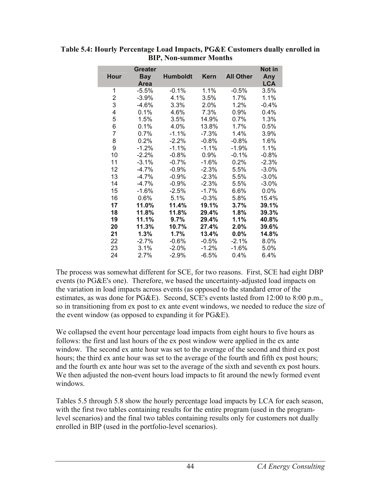|             | Greater    |                 |          |                  | Not in     |
|-------------|------------|-----------------|----------|------------------|------------|
| <b>Hour</b> | <b>Bay</b> | <b>Humboldt</b> | Kern     | <b>All Other</b> | Any        |
|             | Area       |                 |          |                  | <b>LCA</b> |
| 1           | $-5.5%$    | $-0.1%$         | 1.1%     | $-0.5%$          | 3.5%       |
| 2           | $-3.9%$    | 4.1%            | 3.5%     | 1.7%             | 1.1%       |
| 3           | $-4.6%$    | 3.3%            | $2.0\%$  | 1.2%             | $-0.4%$    |
| 4           | 0.1%       | 4.6%            | 7.3%     | 0.9%             | 0.4%       |
| 5           | 1.5%       | 3.5%            | 14.9%    | 0.7%             | 1.3%       |
| 6           | 0.1%       | 4.0%            | 13.8%    | 1.7%             | 0.5%       |
| 7           | $0.7\%$    | $-1.1%$         | -7.3%    | 1.4%             | 3.9%       |
| 8           | 0.2%       | $-2.2%$         | $-0.8%$  | $-0.8%$          | 1.6%       |
| 9           | $-1.2%$    | $-1.1%$         | $-1.1%$  | $-1.9%$          | 1.1%       |
| 10          | $-2.2%$    | $-0.8%$         | $0.9\%$  | $-0.1%$          | $-0.8\%$   |
| 11          | $-3.1%$    | $-0.7%$         | $-1.6%$  | 0.2%             | $-2.3%$    |
| 12          | $-4.7%$    | $-0.9%$         | $-2.3%$  | 5.5%             | $-3.0%$    |
| 13          | $-4.7%$    | $-0.9%$         | $-2.3%$  | 5.5%             | $-3.0%$    |
| 14          | $-4.7%$    | $-0.9%$         | $-2.3%$  | 5.5%             | $-3.0%$    |
| 15          | $-1.6%$    | $-2.5%$         | $-1.7\%$ | $6.6\%$          | 0.0%       |
| 16          | 0.6%       | 5.1%            | $-0.3%$  | 5.8%             | 15.4%      |
| 17          | 11.0%      | 11.4%           | 19.1%    | 3.7%             | 39.1%      |
| 18          | 11.8%      | 11.8%           | 29.4%    | 1.8%             | 39.3%      |
| 19          | 11.1%      | 9.7%            | 29.4%    | 1.1%             | 40.8%      |
| 20          | 11.3%      | 10.7%           | 27.4%    | $2.0\%$          | 39.6%      |
| 21          | 1.3%       | 1.7%            | 13.4%    | 0.0%             | 14.8%      |
| 22          | $-2.7\%$   | $-0.6\%$        | $-0.5\%$ | $-2.1%$          | 8.0%       |
| 23          | 3.1%       | $-2.0%$         | $-1.2%$  | $-1.6%$          | 5.0%       |
| 24          | 2.7%       | $-2.9%$         | $-6.5%$  | 0.4%             | 6.4%       |

**Table 5.4: Hourly Percentage Load Impacts, PG&E Customers dually enrolled in BIP, Non-summer Months** 

The process was somewhat different for SCE, for two reasons. First, SCE had eight DBP events (to PG&E's one). Therefore, we based the uncertainty-adjusted load impacts on the variation in load impacts across events (as opposed to the standard error of the estimates, as was done for PG&E). Second, SCE's events lasted from 12:00 to 8:00 p.m., so in transitioning from ex post to ex ante event windows, we needed to reduce the size of the event window (as opposed to expanding it for PG&E).

We collapsed the event hour percentage load impacts from eight hours to five hours as follows: the first and last hours of the ex post window were applied in the ex ante window. The second ex ante hour was set to the average of the second and third ex post hours; the third ex ante hour was set to the average of the fourth and fifth ex post hours; and the fourth ex ante hour was set to the average of the sixth and seventh ex post hours. We then adjusted the non-event hours load impacts to fit around the newly formed event windows.

Tables 5.5 through 5.8 show the hourly percentage load impacts by LCA for each season, with the first two tables containing results for the entire program (used in the programlevel scenarios) and the final two tables containing results only for customers not dually enrolled in BIP (used in the portfolio-level scenarios).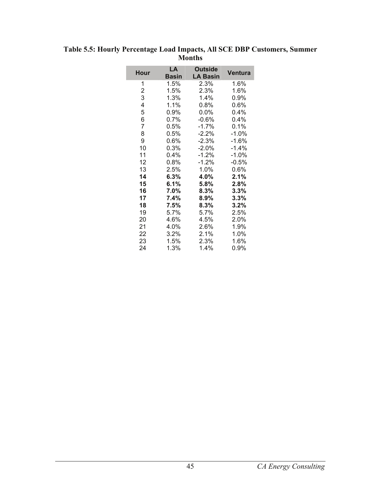| Hour | LA<br><b>Basin</b> | <b>Outside</b><br><b>LA Basin</b> | Ventura  |
|------|--------------------|-----------------------------------|----------|
| 1    | 1.5%               | 2.3%                              | 1.6%     |
| 2    | 1.5%               | 2.3%                              | 1.6%     |
| 3    | 1.3%               | 1.4%                              | 0.9%     |
| 4    | 1.1%               | $0.8\%$                           | 0.6%     |
| 5    | $0.9\%$            | 0.0%                              | $0.4\%$  |
| 6    | 0.7%               | $-0.6%$                           | 0.4%     |
| 7    | $0.5\%$            | $-1.7\%$                          | 0.1%     |
| 8    | 0.5%               | $-2.2%$                           | $-1.0%$  |
| 9    | 0.6%               | -2.3%                             | $-1.6%$  |
| 10   | 0.3%               | $-2.0%$                           | $-1.4\%$ |
| 11   | 0.4%               | $-1.2%$                           | $-1.0%$  |
| 12   | 0.8%               | $-1.2%$                           | $-0.5%$  |
| 13   | 2.5%               | 1.0%                              | 0.6%     |
| 14   | $6.3\%$            | 4.0%                              | $2.1\%$  |
| 15   | $6.1\%$            | 5.8%                              | 2.8%     |
| 16   | 7.0%               | $8.3\%$                           | 3.3%     |
| 17   | 7.4%               | 8.9%                              | 3.3%     |
| 18   | 7.5%               | $8.3\%$                           | 3.2%     |
| 19   | 5.7%               | 5.7%                              | 2.5%     |
| 20   | 4.6%               | 4.5%                              | 2.0%     |
| 21   | 4.0%               | 2.6%                              | 1.9%     |
| 22   | 3.2%               | 2.1%                              | 1.0%     |
| 23   | 1.5%               | 2.3%                              | 1.6%     |
| 24   | 1.3%               | 1.4%                              | 0.9%     |

**Table 5.5: Hourly Percentage Load Impacts, All SCE DBP Customers, Summer Months**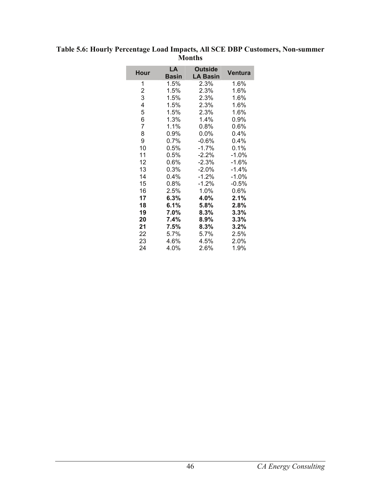| <b>Hour</b> | LA<br>Basin | <b>Outside</b><br><b>LA Basin</b> | <b>Ventura</b> |
|-------------|-------------|-----------------------------------|----------------|
| 1           | 1.5%        | 2.3%                              | 1.6%           |
| 2           | 1.5%        | 2.3%                              | 1.6%           |
| 3           | 1.5%        | 2.3%                              | 1.6%           |
| 4           | 1.5%        | 2.3%                              | 1.6%           |
| 5           | 1.5%        | 2.3%                              | 1.6%           |
| 6           | 1.3%        | 1.4%                              | 0.9%           |
| 7           | 1.1%        | 0.8%                              | 0.6%           |
| 8           | 0.9%        | 0.0%                              | $0.4\%$        |
| 9           | 0.7%        | $-0.6%$                           | 0.4%           |
| 10          | 0.5%        | $-1.7%$                           | 0.1%           |
| 11          | $0.5\%$     | $-2.2%$                           | $-1.0%$        |
| 12          | 0.6%        | $-2.3%$                           | $-1.6%$        |
| 13          | 0.3%        | $-2.0%$                           | $-1.4%$        |
| 14          | 0.4%        | $-1.2%$                           | $-1.0\%$       |
| 15          | 0.8%        | -1.2%                             | $-0.5%$        |
| 16          | 2.5%        | 1.0%                              | 0.6%           |
| 17          | 6.3%        | 4.0%                              | 2.1%           |
| 18          | 6.1%        | 5.8%                              | 2.8%           |
| 19          | 7.0%        | 8.3%                              | 3.3%           |
| 20          | 7.4%        | $8.9\%$                           | $3.3\%$        |
| 21          | 7.5%        | 8.3%                              | $3.2\%$        |
| 22          | 5.7%        | 5.7%                              | 2.5%           |
| 23          | 4.6%        | 4.5%                              | 2.0%           |
| 24          | 4.0%        | 2.6%                              | 1.9%           |

**Table 5.6: Hourly Percentage Load Impacts, All SCE DBP Customers, Non-summer Months**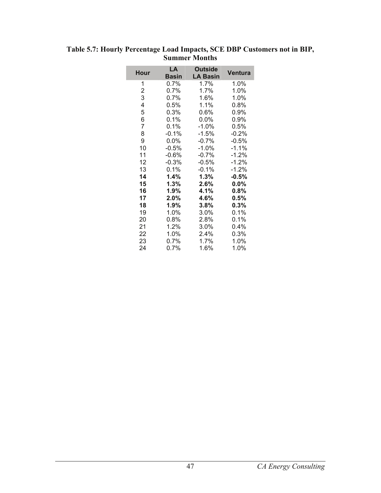| Hour | LA<br><b>Basin</b> | <b>Outside</b><br><b>LA Basin</b> | <b>Ventura</b> |
|------|--------------------|-----------------------------------|----------------|
| 1    | $0.7\%$            | 1.7%                              | 1.0%           |
| 2    | 0.7%               | 1.7%                              | 1.0%           |
| 3    | 0.7%               | 1.6%                              | 1.0%           |
| 4    | 0.5%               | 1.1%                              | $0.8\%$        |
| 5    | 0.3%               | 0.6%                              | 0.9%           |
| 6    | 0.1%               | 0.0%                              | 0.9%           |
| 7    | 0.1%               | $-1.0%$                           | 0.5%           |
| 8    | $-0.1%$            | $-1.5%$                           | $-0.2%$        |
| 9    | $0.0\%$            | $-0.7%$                           | $-0.5%$        |
| 10   | $-0.5%$            | $-1.0%$                           | $-1.1%$        |
| 11   | $-0.6%$            | $-0.7%$                           | $-1.2%$        |
| 12   | $-0.3%$            | $-0.5%$                           | $-1.2%$        |
| 13   | 0.1%               | $-0.1%$                           | $-1.2%$        |
| 14   | 1.4%               | $1.3\%$                           | -0.5%          |
| 15   | 1.3%               | 2.6%                              | 0.0%           |
| 16   | 1.9%               | 4.1%                              | $0.8\%$        |
| 17   | 2.0%               | 4.6%                              | 0.5%           |
| 18   | 1.9%               | 3.8%                              | $0.3\%$        |
| 19   | 1.0%               | 3.0%                              | 0.1%           |
| 20   | 0.8%               | 2.8%                              | 0.1%           |
| 21   | 1.2%               | 3.0%                              | 0.4%           |
| 22   | 1.0%               | 2.4%                              | $0.3\%$        |
| 23   | 0.7%               | 1.7%                              | 1.0%           |
| 24   | $0.7\%$            | 1.6%                              | 1.0%           |

**Table 5.7: Hourly Percentage Load Impacts, SCE DBP Customers not in BIP, Summer Months**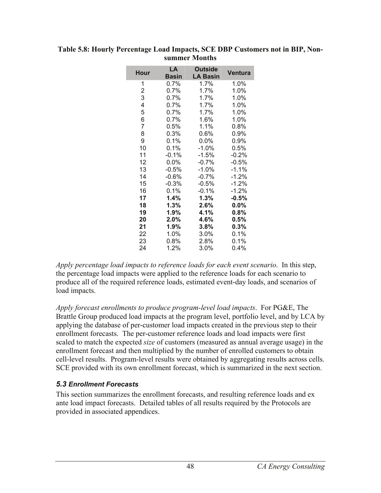| <b>Hour</b> | LA<br><b>Basin</b> | <b>Outside</b><br><b>LA Basin</b> | Ventura |
|-------------|--------------------|-----------------------------------|---------|
| 1           | $0.7\%$            | 1.7%                              | 1.0%    |
| 2           | 0.7%               | 1.7%                              | 1.0%    |
| 3           | 0.7%               | 1.7%                              | 1.0%    |
| 4           | $0.7\%$            | 1.7%                              | 1.0%    |
| 5           | 0.7%               | $1.7\%$                           | 1.0%    |
| 6           | $0.7\%$            | 1.6%                              | 1.0%    |
| 7           | $0.5\%$            | 1.1%                              | 0.8%    |
| 8           | 0.3%               | 0.6%                              | 0.9%    |
| 9           | 0.1%               | 0.0%                              | 0.9%    |
| 10          | 0.1%               | $-1.0%$                           | 0.5%    |
| 11          | -0.1%              | -1.5%                             | $-0.2%$ |
| 12          | 0.0%               | $-0.7\%$                          | $-0.5%$ |
| 13          | $-0.5%$            | -1.0%                             | $-1.1%$ |
| 14          | $-0.6%$            | $-0.7%$                           | $-1.2%$ |
| 15          | $-0.3%$            | $-0.5%$                           | $-1.2%$ |
| 16          | 0.1%               | $-0.1%$                           | $-1.2%$ |
| 17          | 1.4%               | 1.3%                              | $-0.5%$ |
| 18          | 1.3%               | 2.6%                              | 0.0%    |
| 19          | 1.9%               | 4.1%                              | 0.8%    |
| 20          | $2.0\%$            | 4.6%                              | 0.5%    |
| 21          | 1.9%               | 3.8%                              | 0.3%    |
| 22          | 1.0%               | 3.0%                              | 0.1%    |
| 23          | $0.8\%$            | 2.8%                              | 0.1%    |
| 24          | 1.2%               | 3.0%                              | 0.4%    |

#### **Table 5.8: Hourly Percentage Load Impacts, SCE DBP Customers not in BIP, Nonsummer Months**

*Apply percentage load impacts to reference loads for each event scenario*. In this step, the percentage load impacts were applied to the reference loads for each scenario to produce all of the required reference loads, estimated event-day loads, and scenarios of load impacts.

*Apply forecast enrollments to produce program-level load impacts*. For PG&E, The Brattle Group produced load impacts at the program level, portfolio level, and by LCA by applying the database of per-customer load impacts created in the previous step to their enrollment forecasts. The per-customer reference loads and load impacts were first scaled to match the expected *size* of customers (measured as annual average usage) in the enrollment forecast and then multiplied by the number of enrolled customers to obtain cell-level results. Program-level results were obtained by aggregating results across cells. SCE provided with its own enrollment forecast, which is summarized in the next section.

## *5.3 Enrollment Forecasts*

This section summarizes the enrollment forecasts, and resulting reference loads and ex ante load impact forecasts. Detailed tables of all results required by the Protocols are provided in associated appendices.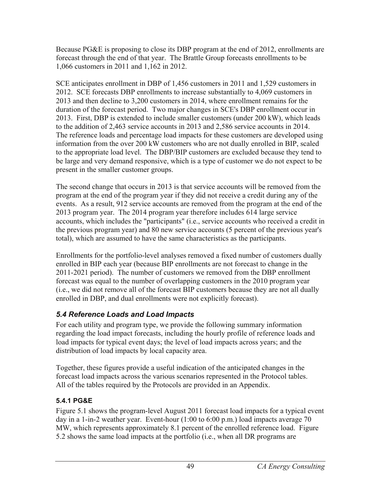Because PG&E is proposing to close its DBP program at the end of 2012, enrollments are forecast through the end of that year. The Brattle Group forecasts enrollments to be 1,066 customers in 2011 and 1,162 in 2012.

SCE anticipates enrollment in DBP of 1,456 customers in 2011 and 1,529 customers in 2012. SCE forecasts DBP enrollments to increase substantially to 4,069 customers in 2013 and then decline to 3,200 customers in 2014, where enrollment remains for the duration of the forecast period. Two major changes in SCE's DBP enrollment occur in 2013. First, DBP is extended to include smaller customers (under 200 kW), which leads to the addition of 2,463 service accounts in 2013 and 2,586 service accounts in 2014. The reference loads and percentage load impacts for these customers are developed using information from the over 200 kW customers who are not dually enrolled in BIP, scaled to the appropriate load level. The DBP/BIP customers are excluded because they tend to be large and very demand responsive, which is a type of customer we do not expect to be present in the smaller customer groups.

The second change that occurs in 2013 is that service accounts will be removed from the program at the end of the program year if they did not receive a credit during any of the events. As a result, 912 service accounts are removed from the program at the end of the 2013 program year. The 2014 program year therefore includes 614 large service accounts, which includes the "participants" (i.e., service accounts who received a credit in the previous program year) and 80 new service accounts (5 percent of the previous year's total), which are assumed to have the same characteristics as the participants.

Enrollments for the portfolio-level analyses removed a fixed number of customers dually enrolled in BIP each year (because BIP enrollments are not forecast to change in the 2011-2021 period). The number of customers we removed from the DBP enrollment forecast was equal to the number of overlapping customers in the 2010 program year (i.e., we did not remove all of the forecast BIP customers because they are not all dually enrolled in DBP, and dual enrollments were not explicitly forecast).

# *5.4 Reference Loads and Load Impacts*

For each utility and program type, we provide the following summary information regarding the load impact forecasts, including the hourly profile of reference loads and load impacts for typical event days; the level of load impacts across years; and the distribution of load impacts by local capacity area.

Together, these figures provide a useful indication of the anticipated changes in the forecast load impacts across the various scenarios represented in the Protocol tables. All of the tables required by the Protocols are provided in an Appendix.

# **5.4.1 PG&E**

Figure 5.1 shows the program-level August 2011 forecast load impacts for a typical event day in a 1-in-2 weather year. Event-hour (1:00 to 6:00 p.m.) load impacts average 70 MW, which represents approximately 8.1 percent of the enrolled reference load. Figure 5.2 shows the same load impacts at the portfolio (i.e., when all DR programs are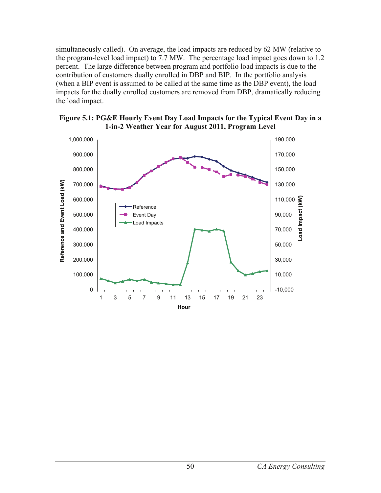simultaneously called). On average, the load impacts are reduced by 62 MW (relative to the program-level load impact) to 7.7 MW. The percentage load impact goes down to 1.2 percent. The large difference between program and portfolio load impacts is due to the contribution of customers dually enrolled in DBP and BIP. In the portfolio analysis (when a BIP event is assumed to be called at the same time as the DBP event), the load impacts for the dually enrolled customers are removed from DBP, dramatically reducing the load impact.



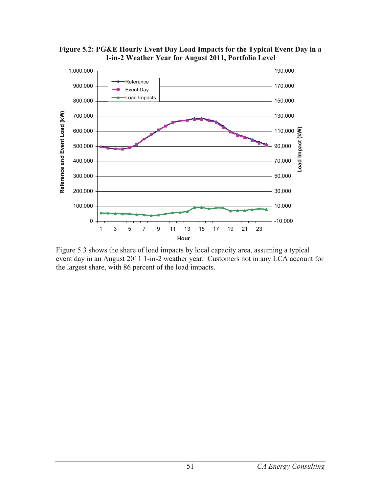

**Figure 5.2: PG&E Hourly Event Day Load Impacts for the Typical Event Day in a 1-in-2 Weather Year for August 2011, Portfolio Level** 

Figure 5.3 shows the share of load impacts by local capacity area, assuming a typical event day in an August 2011 1-in-2 weather year. Customers not in any LCA account for the largest share, with 86 percent of the load impacts.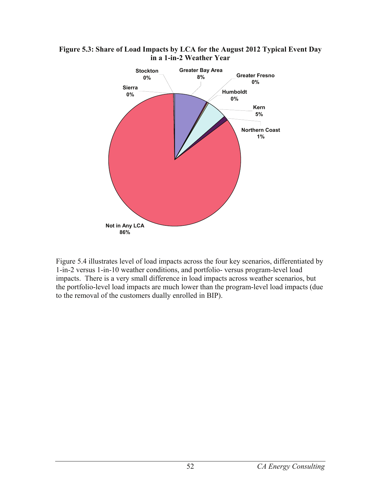

**Figure 5.3: Share of Load Impacts by LCA for the August 2012 Typical Event Day in a 1-in-2 Weather Year** 

Figure 5.4 illustrates level of load impacts across the four key scenarios, differentiated by 1-in-2 versus 1-in-10 weather conditions, and portfolio- versus program-level load impacts. There is a very small difference in load impacts across weather scenarios, but the portfolio-level load impacts are much lower than the program-level load impacts (due to the removal of the customers dually enrolled in BIP).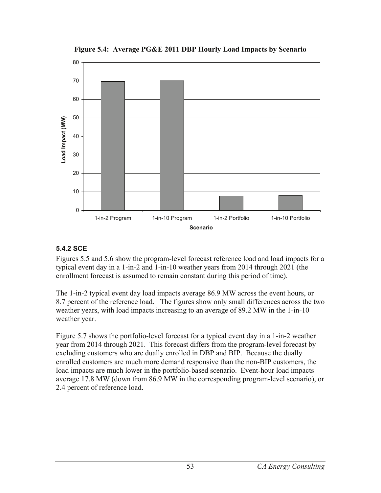

**Figure 5.4: Average PG&E 2011 DBP Hourly Load Impacts by Scenario** 

## **5.4.2 SCE**

Figures 5.5 and 5.6 show the program-level forecast reference load and load impacts for a typical event day in a 1-in-2 and 1-in-10 weather years from 2014 through 2021 (the enrollment forecast is assumed to remain constant during this period of time).

The 1-in-2 typical event day load impacts average 86.9 MW across the event hours, or 8.7 percent of the reference load. The figures show only small differences across the two weather years, with load impacts increasing to an average of 89.2 MW in the 1-in-10 weather year.

Figure 5.7 shows the portfolio-level forecast for a typical event day in a 1-in-2 weather year from 2014 through 2021. This forecast differs from the program-level forecast by excluding customers who are dually enrolled in DBP and BIP. Because the dually enrolled customers are much more demand responsive than the non-BIP customers, the load impacts are much lower in the portfolio-based scenario. Event-hour load impacts average 17.8 MW (down from 86.9 MW in the corresponding program-level scenario), or 2.4 percent of reference load.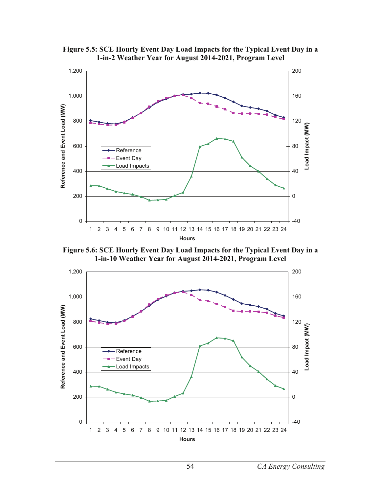

**Figure 5.5: SCE Hourly Event Day Load Impacts for the Typical Event Day in a 1-in-2 Weather Year for August 2014-2021, Program Level** 

**Figure 5.6: SCE Hourly Event Day Load Impacts for the Typical Event Day in a 1-in-10 Weather Year for August 2014-2021, Program Level** 

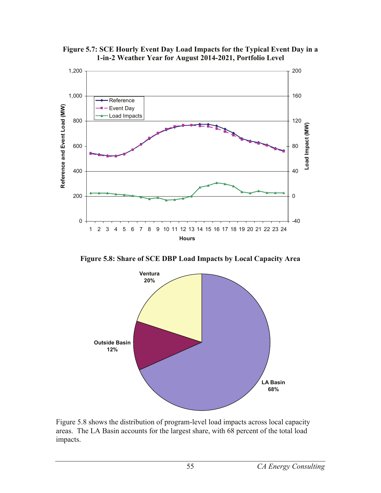

**Figure 5.7: SCE Hourly Event Day Load Impacts for the Typical Event Day in a 1-in-2 Weather Year for August 2014-2021, Portfolio Level** 

**Figure 5.8: Share of SCE DBP Load Impacts by Local Capacity Area** 



Figure 5.8 shows the distribution of program-level load impacts across local capacity areas. The LA Basin accounts for the largest share, with 68 percent of the total load impacts.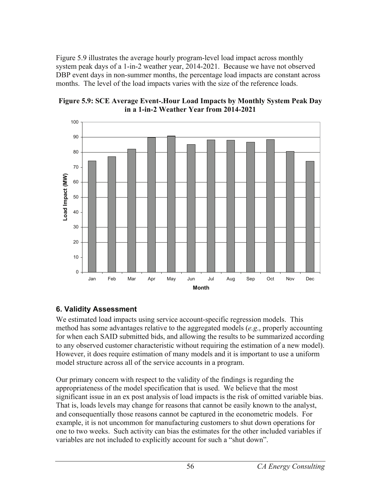Figure 5.9 illustrates the average hourly program-level load impact across monthly system peak days of a 1-in-2 weather year, 2014-2021. Because we have not observed DBP event days in non-summer months, the percentage load impacts are constant across months. The level of the load impacts varies with the size of the reference loads.





## **6. Validity Assessment**

We estimated load impacts using service account-specific regression models. This method has some advantages relative to the aggregated models (*e.g*., properly accounting for when each SAID submitted bids, and allowing the results to be summarized according to any observed customer characteristic without requiring the estimation of a new model). However, it does require estimation of many models and it is important to use a uniform model structure across all of the service accounts in a program.

Our primary concern with respect to the validity of the findings is regarding the appropriateness of the model specification that is used. We believe that the most significant issue in an ex post analysis of load impacts is the risk of omitted variable bias. That is, loads levels may change for reasons that cannot be easily known to the analyst, and consequentially those reasons cannot be captured in the econometric models. For example, it is not uncommon for manufacturing customers to shut down operations for one to two weeks. Such activity can bias the estimates for the other included variables if variables are not included to explicitly account for such a "shut down".